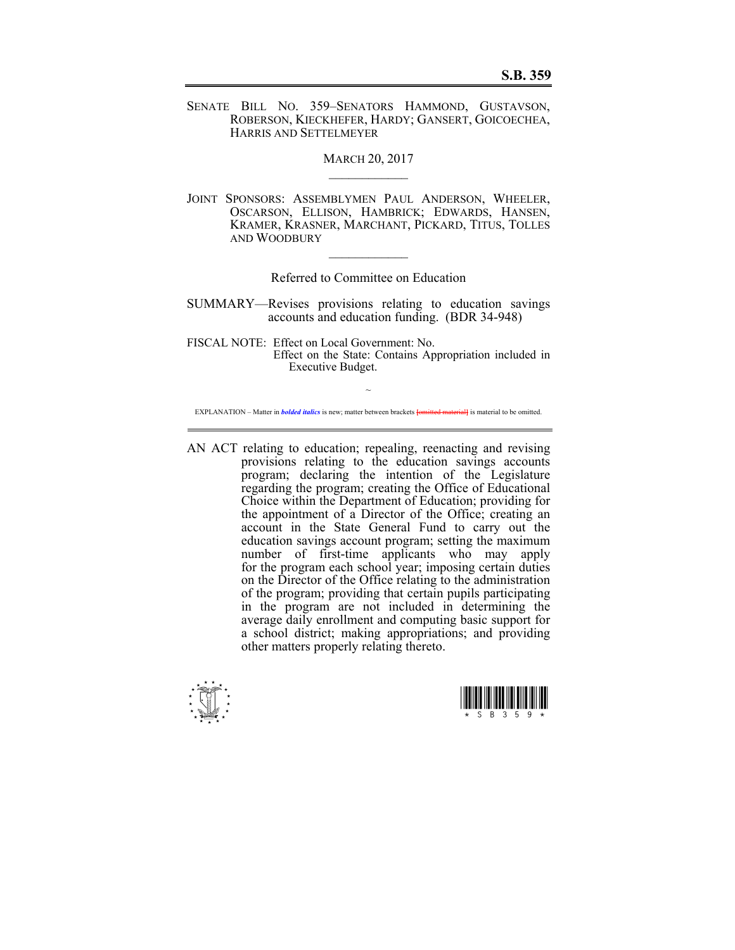SENATE BILL NO. 359–SENATORS HAMMOND, GUSTAVSON, ROBERSON, KIECKHEFER, HARDY; GANSERT, GOICOECHEA, HARRIS AND SETTELMEYER

**MARCH 20, 2017** 

JOINT SPONSORS: ASSEMBLYMEN PAUL ANDERSON, WHEELER, OSCARSON, ELLISON, HAMBRICK; EDWARDS, HANSEN, KRAMER, KRASNER, MARCHANT, PICKARD, TITUS, TOLLES AND WOODBURY

Referred to Committee on Education

 $\mathcal{L}_\text{max}$ 

SUMMARY—Revises provisions relating to education savings accounts and education funding. (BDR 34-948)

FISCAL NOTE: Effect on Local Government: No. Effect on the State: Contains Appropriation included in Executive Budget.

 $\sim$ EXPLANATION – Matter in *bolded italics* is new; matter between brackets **[**omitted material**]** is material to be omitted.

AN ACT relating to education; repealing, reenacting and revising provisions relating to the education savings accounts program; declaring the intention of the Legislature regarding the program; creating the Office of Educational Choice within the Department of Education; providing for the appointment of a Director of the Office; creating an account in the State General Fund to carry out the education savings account program; setting the maximum number of first-time applicants who may apply for the program each school year; imposing certain duties on the Director of the Office relating to the administration of the program; providing that certain pupils participating in the program are not included in determining the average daily enrollment and computing basic support for a school district; making appropriations; and providing other matters properly relating thereto.



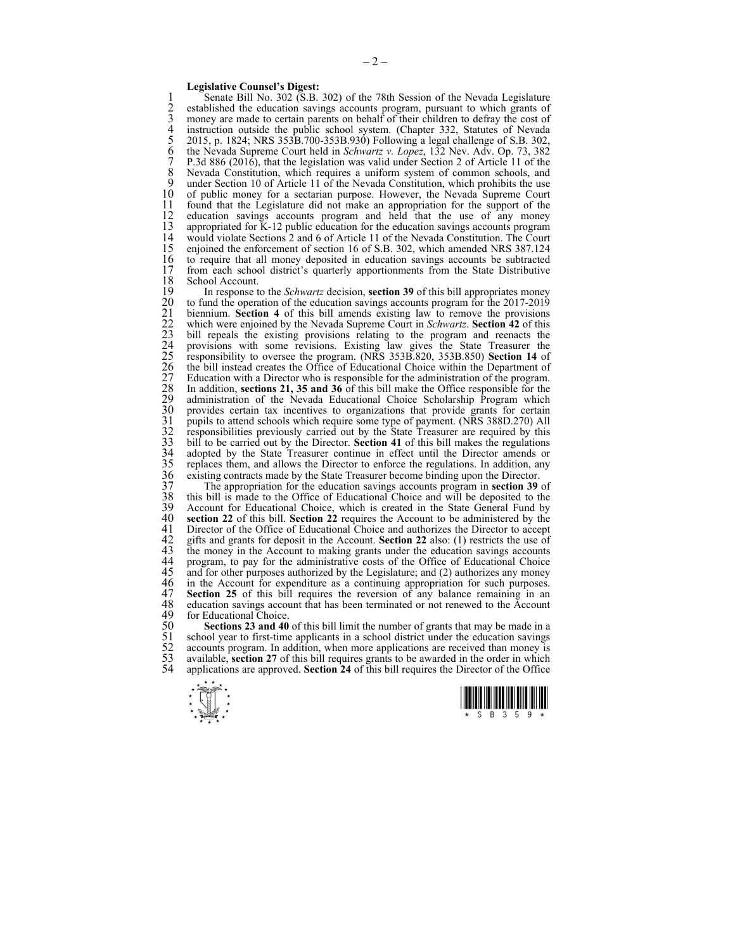## **Legislative Counsel's Digest:**

1 Senate Bill No. 302 (S.B. 302) of the 78th Session of the Nevada Legislature<br>2 established the education savings accounts program, pursuant to which grants of 2 established the education savings accounts program, pursuant to which grants of money are made to certain parents on behalf of their children to defray the cost of 3 money are made to certain parents on behalf of their children to defray the cost of instruction outside the public school system. (Chapter 332, Statutes of Nevada 4 instruction outside the public school system. (Chapter 332, Statutes of Nevada<br>5 2015, p. 1824; NRS 353B.700-353B.930) Following a legal challenge of S.B. 302,<br>6 the Nevada Supreme Court held in *Schwartz v. Lopez*, 132 5 2015, p. 1824; NRS 353B.700-353B.930) Following a legal challenge of S.B. 302, 6 the Nevada Supreme Court held in *Schwartz v. Lopez*, 132 Nev. Adv. Op. 73, 382 7 P.3d 886 (2016), that the legislation was valid under Section 2 of Article 11 of the 8 Nevada Constitution, which requires a uniform system of common schools, and 9 under Section 10 of Article 11 of the Nevada Constitution which prohibits the use 9 under Section 10 of Article 11 of the Nevada Constitution, which prohibits the use 10 of public money for a sectarian purpose. However, the Nevada Supreme Court 11 found that the Legislature did not make an appropriation for the support of the education savings accounts program and held that the use of any money 12 education savings accounts program and held that the use of any money 13 appropriated for K-12 public education for the education savings accounts program 13 appropriated for K-12 public education for the education savings accounts program 14 would violate Sections 2 and 6 of Article 11 of the Nevada Constitution. The Court 15 enjoined the enforcement of section 16 of S.B. 302, which amended NRS 387.124 16 to require that all money deposited in education savings accounts be subtracted 17 from each school district's quarterly apportionments from the State Distributive 17 from each school district's quarterly apportionments from the State Distributive School Account. 18 School Account.<br>19 In response t

19 In response to the *Schwartz* decision, **section 39** of this bill appropriates money 20 to fund the operation of the education savings accounts program for the 2017-2019<br>
21 biennium. **Section 4** of this bill amends existing law to remove the provisions<br>
22 which were enjoined by the Nevada Supreme Court biennium. **Section 4** of this bill amends existing law to remove the provisions 22 which were enjoined by the Nevada Supreme Court in *Schwartz*. **Section 42** of this 23 bill repeals the existing provisions relating to the program and reenacts the 24 provisions with some revisions. Existing law gives the State Treasurer the 25 responsibility to oversee the program. (NRS 353B.820, 353B.850) **Section 14** of 26 the bill instead creates the Office of Educational Choice within the Department of Education with a Director who is responsible for the administration of the program. In addition, **sections 21, 35 and 36** of this bill make the Office responsible for the administration of the Nevada Educational Choice Scholarship Program which 30 provides certain tax incentives to organizations that provide grants for certain pupils to attend schools which require some type of payment. (NRS 388D.270) All responsibilities previously carried out by the State Treas 31 pupils to attend schools which require some type of payment. (NRS 388D.270) All 32 responsibilities previously carried out by the State Treasurer are required by this 33 bill to be carried out by the Director. **Section 41** of this bill makes the regulations adopted by the State Treasurer continue in effect until the Director amends or 35 replaces them, and allows the Director to enforce the regulations. In addition, any 36 existing contracts made by the State Treasurer become binding upon the Director.

37 The appropriation for the education savings accounts program in **section 39** of 38 this bill is made to the Office of Educational Choice and will be deposited to the 39 Account for Educational Choice, which is created in the State General Fund by 40 section 22 of this bill. Section 22 requires the Account to be administered by the 40 **section 22** of this bill. **Section 22** requires the Account to be administered by the 41 Director of the Office of Educational Choice and authorizes the Director to accept 42 gifts and grants for deposit in the Account. **Section 22** also: (1) restricts the use of 42 gifts and grants for deposit in the Account. **Section 22** also: (1) restricts the use of 43 the money in the Account to making grants under the education savings accounts 44 program, to pay for the administrative costs of the Office of Educational Choice 44 program, to pay for the administrative costs of the Office of Educational Choice<br>45 and for other purposes authorized by the Legislature: and (2) authorizes any money  $45$  and for other purposes authorized by the Legislature; and (2) authorizes any money  $46$  in the Account for expenditure as a continuing appropriation for such purposes 46 in the Account for expenditure as a continuing appropriation for such purposes.<br>47 **Section 25** of this bill requires the reversion of any balance remaining in an 47 **Section 25** of this bill requires the reversion of any balance remaining in an education savings account that has been terminated or not renewed to the Account 48 education savings account that has been terminated or not renewed to the Account 49 for Educational Choice 49 for Educational Choice.<br>50 **Sections 23 and 40** 

50 **Sections 23 and 40** of this bill limit the number of grants that may be made in a 51 school year to first-time applicants in a school district under the education savings 51 school year to first-time applicants in a school district under the education savings accounts program. In addition, when more applications are received than money is available, **section 27** of this bill requires grants accounts program. In addition, when more applications are received than money is 53 available, **section 27** of this bill requires grants to be awarded in the order in which 54 applications are approved **Section 24** of this bill requires the Director of the Office 54 applications are approved. **Section 24** of this bill requires the Director of the Office



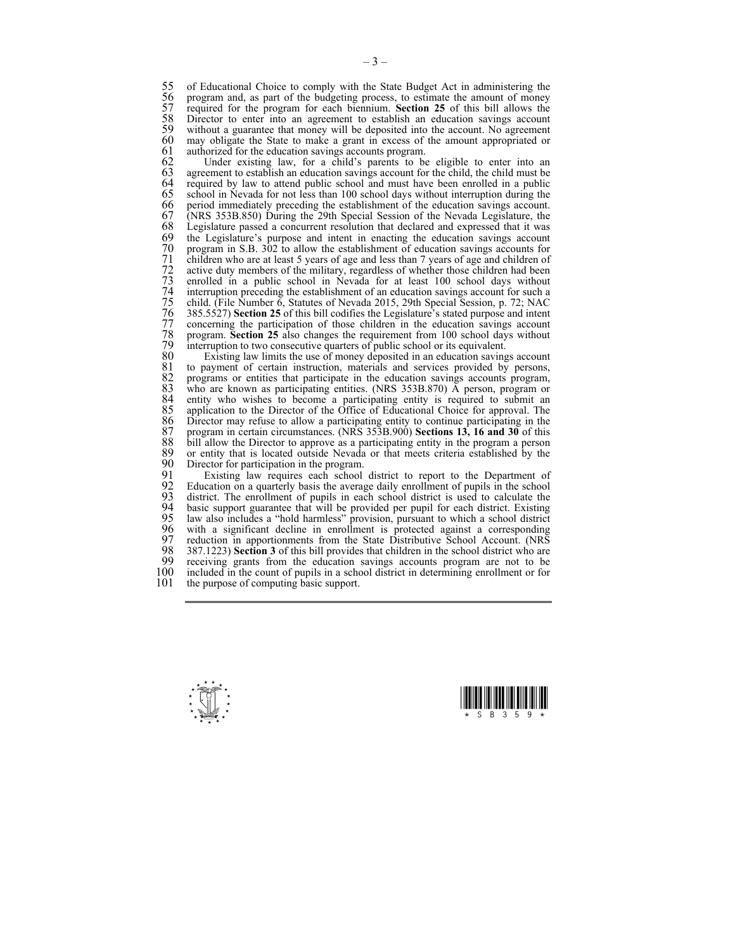55 of Educational Choice to comply with the State Budget Act in administering the program and, as part of the budgeting process, to estimate the amount of money 56 program and, as part of the budgeting process, to estimate the amount of money<br>57 required for the program for each biennium. Section 25 of this bill allows the 57 required for the program for each biennium. **Section 25** of this bill allows the 58 Director to enter into an agreement to establish an education savings account 59 without a guarantee that money will be deposited into the account. No agreement 59 without a guarantee that money will be deposited into the account. No agreement 60 may obligate the State to make a grant in excess of the amount appropriated or authorized for the education savings accounts program. 61 authorized for the education savings accounts program.<br>62 Under existing law, for a child's parents to be

62 Under existing law, for a child's parents to be eligible to enter into an  $63$  agreement to establish an education savings account for the child, the child must be 63 agreement to establish an education savings account for the child, the child must be 64 required by law to attend public school and must have been enrolled in a public 64 required by law to attend public school and must have been enrolled in a public 65 school in Nevada for not less than 100 school days without interruption during the 66 period immediately preceding the establishment of the education savings account. 67 (NRS 353B.850) During the 29th Special Session of the Nevada Legislature, the 68 Legislature passed a concurrent resolution that declared and expressed that it was 69 the Legislature's purpose and intent in enacting the education savings account 70 program in S.B. 302 to allow the establishment of education savings accounts for<br>71 children who are at least 5 years of age and less than 7 years of age and children of<br>72 active duty members of the military, regardles children who are at least 5 years of age and less than 7 years of age and children of active duty members of the military, regardless of whether those children had been 73 enrolled in a public school in Nevada for at least 100 school days without 74 interruption preceding the establishment of an education savings account for such a 75 child. (File Number 6, Statutes of Nevada 2015, 29th Special Session, p. 72; NAC 76 385.5527) **Section 25** of this bill codifies the Legislature's stated purpose and intent concerning the participation of those children in the education savings account 78 program. **Section 25** also changes the requirement from 100 school days without 79 interruption to two consecutive quarters of public school or its equivalent.

80 Existing law limits the use of money deposited in an education savings account 81 to payment of certain instruction, materials and services provided by persons, 81 to payment of certain instruction, materials and services provided by persons, 82 programs or entities that participate in the education savings accounts program. 82 programs or entities that participate in the education savings accounts program, who are known as participating entities. (NRS 353B.870) A person, program or 83 who are known as participating entities. (NRS 353B.870)  $\overline{A}$  person, program or 84 entity who wishes to become a participating entity is required to submit an 84 entity who wishes to become a participating entity is required to submit an 85 application to the Director of the Office of Educational Choice for approval. The 85 application to the Director of the Office of Educational Choice for approval. The 86 Director may refuse to allow a participating entity to continue participating in the 87 program in certain circumstances. (NRS 353B.900) **Sections 13, 16 and 30** of this 87 program in certain circumstances. (NRS 353B.900) **Sections 13, 16 and 30** of this 88 bill allow the Director to approve as a participating entity in the program a person 89 or entity that is located outside Nevada or that meets criteria established by the 89 or entity that is located outside Nevada or that meets criteria established by the 90 Director for participation in the program. 90 Director for participation in the program.<br>91 Existing law requires each school

91 Existing law requires each school district to report to the Department of Peartment of pupils in the school 92 Education on a quarterly basis the average daily enrollment of pupils in the school 92 Education on a quarterly basis the average daily enrollment of pupils in the school district. The enrollment of pupils in each school district is used to calculate the 93 district. The enrollment of pupils in each school district is used to calculate the 94 basic support guarantee that will be provided per pupil for each district. Existing 95 law also includes a "hold harmless" provision, pursuant to which a school district 95 law also includes a "hold harmless" provision, pursuant to which a school district 96 with a significant decline in enrollment is protected against a corresponding 96 with a significant decline in enrollment is protected against a corresponding 97 reduction in apportionments from the State Distributive School Account. (NRS 97 reduction in apportionments from the State Distributive School Account. (NRS<br>98 387.1223) Section 3 of this bill provides that children in the school district who are 98 387.1223) **Section 3** of this bill provides that children in the school district who are 99 receiving grants from the education savings accounts program are not to be 100 included in the count of pupils in a school district in determining enrollment or for 100 included in the count of pupils in a school district in determining enrollment or for 101 the purpose of computing basic support the purpose of computing basic support.



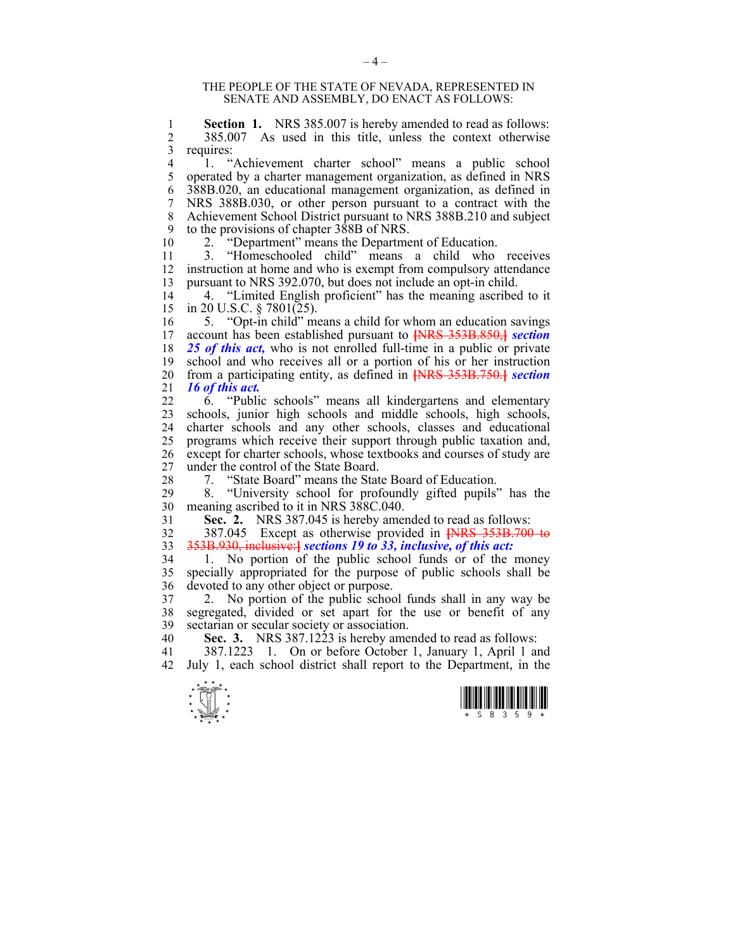## THE PEOPLE OF THE STATE OF NEVADA, REPRESENTED IN SENATE AND ASSEMBLY, DO ENACT AS FOLLOWS:

1 **Section 1.** NRS 385.007 is hereby amended to read as follows:<br>2 385,007 As used in this title unless the context otherwise 2 385.007 As used in this title, unless the context otherwise  $\begin{bmatrix} 3 \\ 4 \end{bmatrix}$  requires:

1. "Achievement charter school" means a public school 5 operated by a charter management organization, as defined in NRS 6 388B.020, an educational management organization, as defined in 7 NRS 388B.030, or other person pursuant to a contract with the 8 Achievement School District pursuant to NRS 388B.210 and subject 9 to the provisions of chapter 388B of NRS.

10 2. "Department" means the Department of Education.

11 3. "Homeschooled child" means a child who receives 12 instruction at home and who is exempt from compulsory attendance 13 pursuant to NRS 392.070, but does not include an opt-in child.

14 4. "Limited English proficient" has the meaning ascribed to it 15 in 20 U.S.C. § 7801(25).

16 5. "Opt-in child" means a child for whom an education savings 17 account has been established pursuant to **[**NRS 353B.850,**]** *section*  18 *25 of this act,* who is not enrolled full-time in a public or private 19 school and who receives all or a portion of his or her instruction 20 from a participating entity, as defined in **[**NRS 353B.750.**]** *section*  21 *16 of this act.*

22 6. "Public schools" means all kindergartens and elementary 23 schools, junior high schools and middle schools, high schools, 24 charter schools and any other schools, classes and educational 25 programs which receive their support through public taxation and, 26 except for charter schools, whose textbooks and courses of study are 27 under the control of the State Board.

28 7. "State Board" means the State Board of Education.

"University school for profoundly gifted pupils" has the 30 meaning ascribed to it in NRS 388C.040.

31 **Sec. 2.** NRS 387.045 is hereby amended to read as follows:

32 387.045 Except as otherwise provided in **[**NRS 353B.700 to 33 353B.930, inclusive:**]** *sections 19 to 33, inclusive, of this act:*

34 1. No portion of the public school funds or of the money 35 specially appropriated for the purpose of public schools shall be 36 devoted to any other object or purpose.

37 2. No portion of the public school funds shall in any way be 38 segregated, divided or set apart for the use or benefit of any 39 sectarian or secular society or association.

40 **Sec. 3.** NRS 387.1223 is hereby amended to read as follows:

41 387.1223 1. On or before October 1, January 1, April 1 and 42 July 1, each school district shall report to the Department, in the



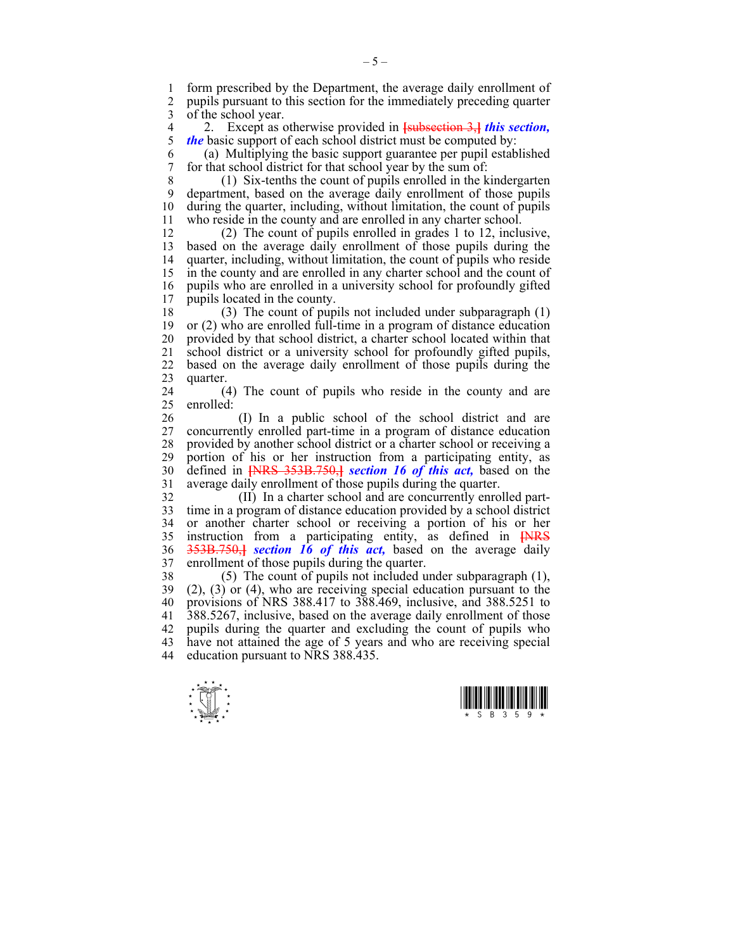1 form prescribed by the Department, the average daily enrollment of 2 pupils pursuant to this section for the immediately preceding quarter 2 pupils pursuant to this section for the immediately preceding quarter 3 of the school year.

4 2. Except as otherwise provided in **[**subsection 3,**]** *this section, the* basic support of each school district must be computed by:

6 (a) Multiplying the basic support guarantee per pupil established 7 for that school district for that school year by the sum of:

8 (1) Six-tenths the count of pupils enrolled in the kindergarten 9 department, based on the average daily enrollment of those pupils 10 during the quarter, including, without limitation, the count of pupils 11 who reside in the county and are enrolled in any charter school.

12 (2) The count of pupils enrolled in grades 1 to 12, inclusive, 13 based on the average daily enrollment of those pupils during the 14 quarter, including, without limitation, the count of pupils who reside 15 in the county and are enrolled in any charter school and the count of 16 pupils who are enrolled in a university school for profoundly gifted 17 pupils located in the county.

18 (3) The count of pupils not included under subparagraph (1) 19 or (2) who are enrolled full-time in a program of distance education 20 provided by that school district, a charter school located within that 21 school district or a university school for profoundly gifted pupils, 22 based on the average daily enrollment of those pupils during the 23 quarter.

24 (4) The count of pupils who reside in the county and are  $25$  enrolled<sup> $\cdot$ </sup>

26 (I) In a public school of the school district and are 27 concurrently enrolled part-time in a program of distance education 28 provided by another school district or a charter school or receiving a 29 portion of his or her instruction from a participating entity, as 30 defined in **[**NRS 353B.750,**]** *section 16 of this act,* based on the 31 average daily enrollment of those pupils during the quarter.

32 (II) In a charter school and are concurrently enrolled part-33 time in a program of distance education provided by a school district 34 or another charter school or receiving a portion of his or her 35 instruction from a participating entity, as defined in **[**NRS 36 353B.750,**]** *section 16 of this act,* based on the average daily 37 enrollment of those pupils during the quarter.

38 (5) The count of pupils not included under subparagraph (1), 39 (2), (3) or (4), who are receiving special education pursuant to the 40 provisions of NRS 388.417 to 388.469, inclusive, and 388.5251 to 41 388.5267, inclusive, based on the average daily enrollment of those 42 pupils during the quarter and excluding the count of pupils who 43 have not attained the age of 5 years and who are receiving special 44 education pursuant to NRS 388.435.



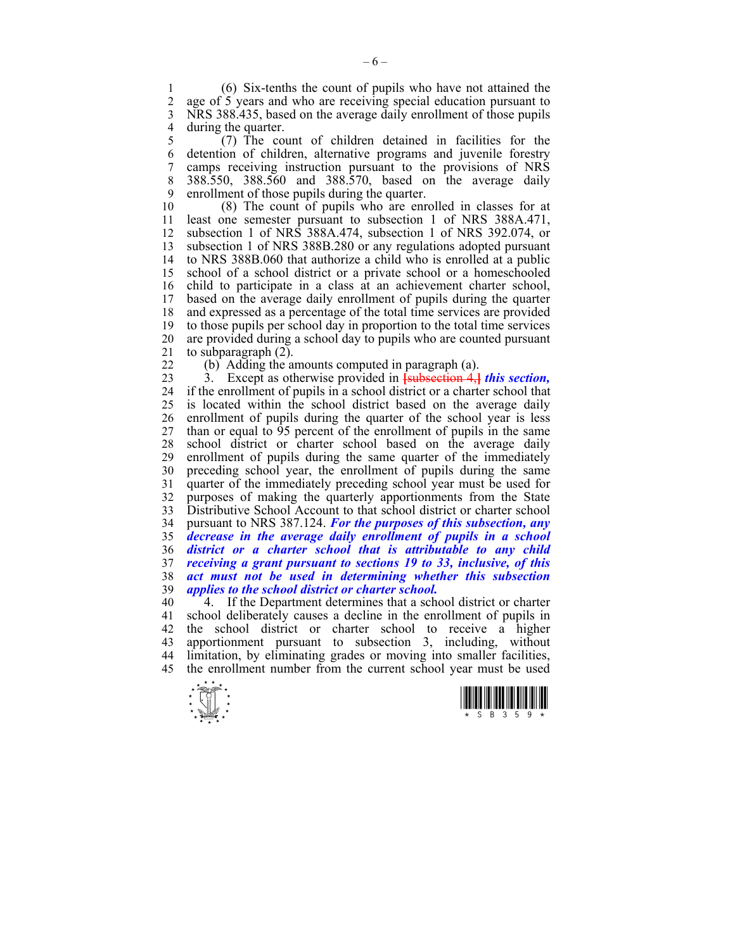1 (6) Six-tenths the count of pupils who have not attained the age of 5 years and who are receiving special education pursuant to 3 NRS 388.435, based on the average daily enrollment of those pupils 4 during the quarter.<br>5  $(7)$  The co

5 (7) The count of children detained in facilities for the 6 detention of children, alternative programs and juvenile forestry 7 camps receiving instruction pursuant to the provisions of NRS 8 388.550, 388.560 and 388.570, based on the average daily 9 enrollment of those pupils during the quarter.<br>10 (8) The count of pupils who are enr

 $(8)$  The count of pupils who are enrolled in classes for at 11 least one semester pursuant to subsection 1 of NRS 388A.471, 12 subsection 1 of NRS 388A.474, subsection 1 of NRS 392.074, or 13 subsection 1 of NRS 388B.280 or any regulations adopted pursuant 14 to NRS 388B.060 that authorize a child who is enrolled at a public 15 school of a school district or a private school or a homeschooled 16 child to participate in a class at an achievement charter school, 17 based on the average daily enrollment of pupils during the quarter based on the average daily enrollment of pupils during the quarter 18 and expressed as a percentage of the total time services are provided 19 to those pupils per school day in proportion to the total time services 20 are provided during a school day to pupils who are counted pursuant 21 to subparagraph (2).

 $22$  (b) Adding the amounts computed in paragraph (a).

23 3. Except as otherwise provided in **[**subsection 4,**]** *this section,*  24 if the enrollment of pupils in a school district or a charter school that 25 is located within the school district based on the average daily 26 enrollment of pupils during the quarter of the school year is less 27 than or equal to 95 percent of the enrollment of pupils in the same 28 school district or charter school based on the average daily enrollment of pupils during the same quarter of the immediately enrollment of pupils during the same quarter of the immediately 30 preceding school year, the enrollment of pupils during the same 31 quarter of the immediately preceding school year must be used for 32 purposes of making the quarterly apportionments from the State 33 Distributive School Account to that school district or charter school 34 pursuant to NRS 387.124. *For the purposes of this subsection, any*  35 *decrease in the average daily enrollment of pupils in a school*  36 *district or a charter school that is attributable to any child*  37 *receiving a grant pursuant to sections 19 to 33, inclusive, of this*  38 *act must not be used in determining whether this subsection*  39 *applies to the school district or charter school.*

40 4. If the Department determines that a school district or charter 41 school deliberately causes a decline in the enrollment of pupils in 42 the school district or charter school to receive a higher 43 apportionment pursuant to subsection 3, including, without 44 limitation, by eliminating grades or moving into smaller facilities, 45 the enrollment number from the current school year must be used



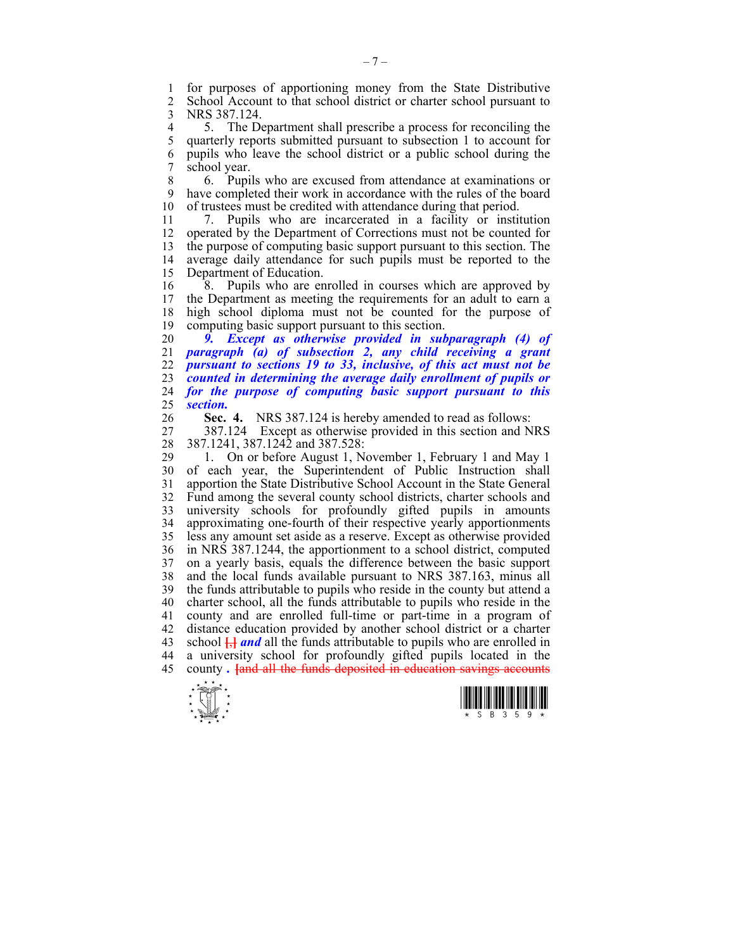1 for purposes of apportioning money from the State Distributive 2 School Account to that school district or charter school pursuant to 3 NRS 387.124.

4 5. The Department shall prescribe a process for reconciling the 5 quarterly reports submitted pursuant to subsection 1 to account for 5 quarterly reports submitted pursuant to subsection 1 to account for 6 pupils who leave the school district or a public school during the school year.

8 6. Pupils who are excused from attendance at examinations or 9 have completed their work in accordance with the rules of the board 10 of trustees must be credited with attendance during that period of trustees must be credited with attendance during that period.

11 7. Pupils who are incarcerated in a facility or institution 12 operated by the Department of Corrections must not be counted for 13 the purpose of computing basic support pursuant to this section. The 14 average daily attendance for such pupils must be reported to the 15 Department of Education.

16 8. Pupils who are enrolled in courses which are approved by 17 the Department as meeting the requirements for an adult to earn a 18 high school diploma must not be counted for the purpose of 19 computing basic support pursuant to this section.

*9. Except as otherwise provided in subparagraph (4) of paragraph (a) of subsection 2, any child receiving a grant pursuant to sections 19 to 33, inclusive, of this act must not be counted in determining the average daily enrollment of pupils or for the purpose of computing basic support pursuant to this section.* 

26 **Sec. 4.** NRS 387.124 is hereby amended to read as follows:

27 387.124 Except as otherwise provided in this section and NRS 28 387.1241, 387.1242 and 387.528:

29 1. On or before August 1, November 1, February 1 and May 1 30 of each year, the Superintendent of Public Instruction shall 31 apportion the State Distributive School Account in the State General 32 Fund among the several county school districts, charter schools and 33 university schools for profoundly gifted pupils in amounts 34 approximating one-fourth of their respective yearly apportionments 35 less any amount set aside as a reserve. Except as otherwise provided 36 in NRS 387.1244, the apportionment to a school district, computed 37 on a yearly basis, equals the difference between the basic support 38 and the local funds available pursuant to NRS 387.163, minus all 39 the funds attributable to pupils who reside in the county but attend a 40 charter school, all the funds attributable to pupils who reside in the 41 county and are enrolled full-time or part-time in a program of 42 distance education provided by another school district or a charter 43 school **[**,**]** *and* all the funds attributable to pupils who are enrolled in 44 a university school for profoundly gifted pupils located in the 45 county *.* **[**and all the funds deposited in education savings accounts



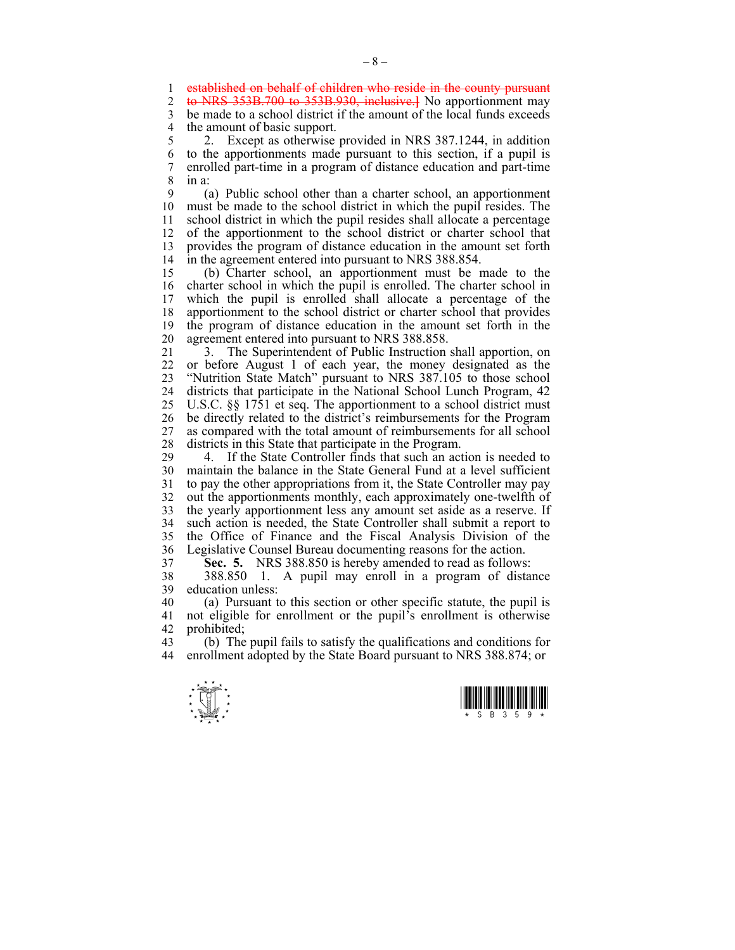1 established on behalf of children who reside in the county pursuant 2 to NRS 353B 700 to 353B 930 inclusive H No approximate may

2 to NRS 353B.700 to 353B.930, inclusive.**]** No apportionment may

3 be made to a school district if the amount of the local funds exceeds 4 the amount of basic support.<br>5 2. Except as otherwise

2. Except as otherwise provided in NRS 387.1244, in addition 6 to the apportionments made pursuant to this section, if a pupil is 7 enrolled part-time in a program of distance education and part-time 8 in a:

9 (a) Public school other than a charter school, an apportionment 10 must be made to the school district in which the pupil resides. The 11 school district in which the pupil resides shall allocate a percentage 12 of the apportionment to the school district or charter school that 13 provides the program of distance education in the amount set forth 14 in the agreement entered into pursuant to NRS 388.854.

15 (b) Charter school, an apportionment must be made to the 16 charter school in which the pupil is enrolled. The charter school in 17 which the pupil is enrolled shall allocate a percentage of the 18 apportionment to the school district or charter school that provides 19 the program of distance education in the amount set forth in the 20 agreement entered into pursuant to NRS 388.858.

21 3. The Superintendent of Public Instruction shall apportion, on 22 or before August 1 of each year, the money designated as the 23 "Nutrition State Match" pursuant to NRS 387.105 to those school 24 districts that participate in the National School Lunch Program, 42 25 U.S.C. §§ 1751 et seq. The apportionment to a school district must 26 be directly related to the district's reimbursements for the Program 27 as compared with the total amount of reimbursements for all school 28 districts in this State that participate in the Program.

29 4. If the State Controller finds that such an action is needed to 30 maintain the balance in the State General Fund at a level sufficient 31 to pay the other appropriations from it, the State Controller may pay 32 out the apportionments monthly, each approximately one-twelfth of 33 the yearly apportionment less any amount set aside as a reserve. If 34 such action is needed, the State Controller shall submit a report to 35 the Office of Finance and the Fiscal Analysis Division of the 36 Legislative Counsel Bureau documenting reasons for the action.

37 **Sec. 5.** NRS 388.850 is hereby amended to read as follows:

38 388.850 1. A pupil may enroll in a program of distance 39 education unless:

40 (a) Pursuant to this section or other specific statute, the pupil is 41 not eligible for enrollment or the pupil's enrollment is otherwise 42 prohibited;<br>43 (b) The

43 (b) The pupil fails to satisfy the qualifications and conditions for 44 enrollment adopted by the State Board pursuant to NRS 388.874; or



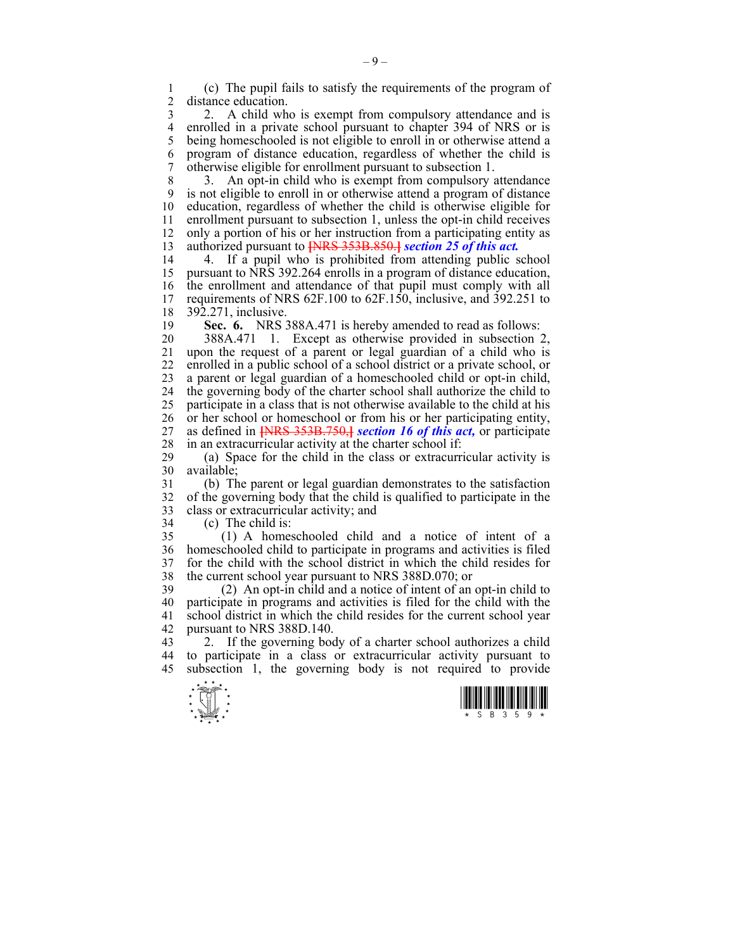1 (c) The pupil fails to satisfy the requirements of the program of distance education.

3 2. A child who is exempt from compulsory attendance and is 4 enrolled in a private school pursuant to chapter 394 of NRS or is<br>5 being homeschooled is not eligible to enroll in or otherwise attend a being homeschooled is not eligible to enroll in or otherwise attend a 6 program of distance education, regardless of whether the child is 7 otherwise eligible for enrollment pursuant to subsection 1.

8 3. An opt-in child who is exempt from compulsory attendance 9 is not eligible to enroll in or otherwise attend a program of distance 10 education, regardless of whether the child is otherwise eligible for 11 enrollment pursuant to subsection 1, unless the opt-in child receives 12 only a portion of his or her instruction from a participating entity as 13 authorized pursuant to **[**NRS 353B.850.**]** *section 25 of this act.*

14 4. If a pupil who is prohibited from attending public school 15 pursuant to NRS 392.264 enrolls in a program of distance education, 16 the enrollment and attendance of that pupil must comply with all 17 requirements of NRS 62F.100 to 62F.150, inclusive, and 392.251 to 18 392.271, inclusive.

19 **Sec. 6.** NRS 388A.471 is hereby amended to read as follows:

20 388A.471 1. Except as otherwise provided in subsection 2, 21 upon the request of a parent or legal guardian of a child who is 22 enrolled in a public school of a school district or a private school, or 23 a parent or legal guardian of a homeschooled child or opt-in child, 24 the governing body of the charter school shall authorize the child to 25 participate in a class that is not otherwise available to the child at his 26 or her school or homeschool or from his or her participating entity, 27 as defined in **[**NRS 353B.750,**]** *section 16 of this act,* or participate 28 in an extracurricular activity at the charter school if:<br>29 (a) Space for the child in the class or extracurr

(a) Space for the child in the class or extracurricular activity is 30 available;

31 (b) The parent or legal guardian demonstrates to the satisfaction 32 of the governing body that the child is qualified to participate in the 33 class or extracurricular activity; and

34 (c) The child is:

35 (1) A homeschooled child and a notice of intent of a 36 homeschooled child to participate in programs and activities is filed 37 for the child with the school district in which the child resides for 38 the current school year pursuant to NRS 388D.070; or

39 (2) An opt-in child and a notice of intent of an opt-in child to 40 participate in programs and activities is filed for the child with the 41 school district in which the child resides for the current school year 42 pursuant to NRS 388D.140.

43 2. If the governing body of a charter school authorizes a child 44 to participate in a class or extracurricular activity pursuant to 45 subsection 1, the governing body is not required to provide



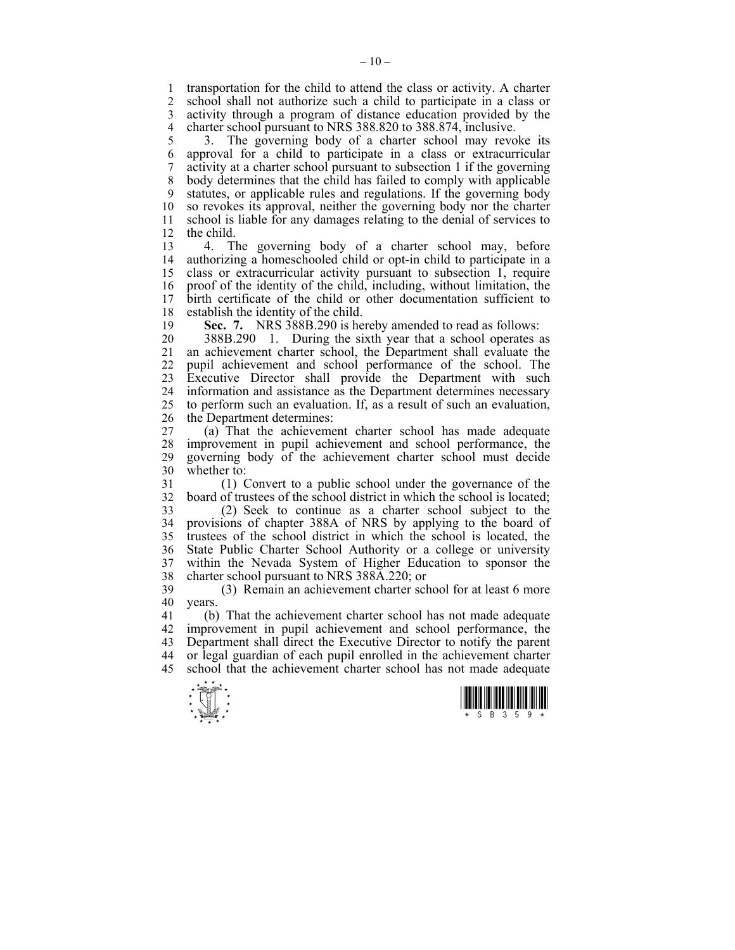1 transportation for the child to attend the class or activity. A charter 2 school shall not authorize such a child to participate in a class or school shall not authorize such a child to participate in a class or 3 activity through a program of distance education provided by the 4 charter school pursuant to NRS 388.820 to 388.874, inclusive.<br>5 3. The governing body of a charter school may revo

5 3. The governing body of a charter school may revoke its 6 approval for a child to participate in a class or extracurricular 7 activity at a charter school pursuant to subsection 1 if the governing 8 body determines that the child has failed to comply with applicable 9 statutes, or applicable rules and regulations. If the governing body 10 so revokes its approval, neither the governing body nor the charter 11 school is liable for any damages relating to the denial of services to 12 the child.

13 4. The governing body of a charter school may, before 14 authorizing a homeschooled child or opt-in child to participate in a 15 class or extracurricular activity pursuant to subsection 1, require 16 proof of the identity of the child, including, without limitation, the 17 birth certificate of the child or other documentation sufficient to 18 establish the identity of the child.

19 **Sec. 7.** NRS 388B.290 is hereby amended to read as follows:

20 388B.290 1. During the sixth year that a school operates as 21 an achievement charter school, the Department shall evaluate the 22 pupil achievement and school performance of the school. The 23 Executive Director shall provide the Department with such 24 information and assistance as the Department determines necessary 25 to perform such an evaluation. If, as a result of such an evaluation, 26 the Department determines:

27 (a) That the achievement charter school has made adequate 28 improvement in pupil achievement and school performance, the 29 governing body of the achievement charter school must decide 30 whether to:

31 (1) Convert to a public school under the governance of the 32 board of trustees of the school district in which the school is located;

33 (2) Seek to continue as a charter school subject to the 34 provisions of chapter 388A of NRS by applying to the board of 35 trustees of the school district in which the school is located, the 36 State Public Charter School Authority or a college or university 37 within the Nevada System of Higher Education to sponsor the charter school pursuant to NRS 388A.220: or 38 charter school pursuant to NRS 388A.220; or

39 (3) Remain an achievement charter school for at least 6 more 40 years.

41 (b) That the achievement charter school has not made adequate 42 improvement in pupil achievement and school performance, the 43 Department shall direct the Executive Director to notify the parent 44 or legal guardian of each pupil enrolled in the achievement charter 45 school that the achievement charter school has not made adequate



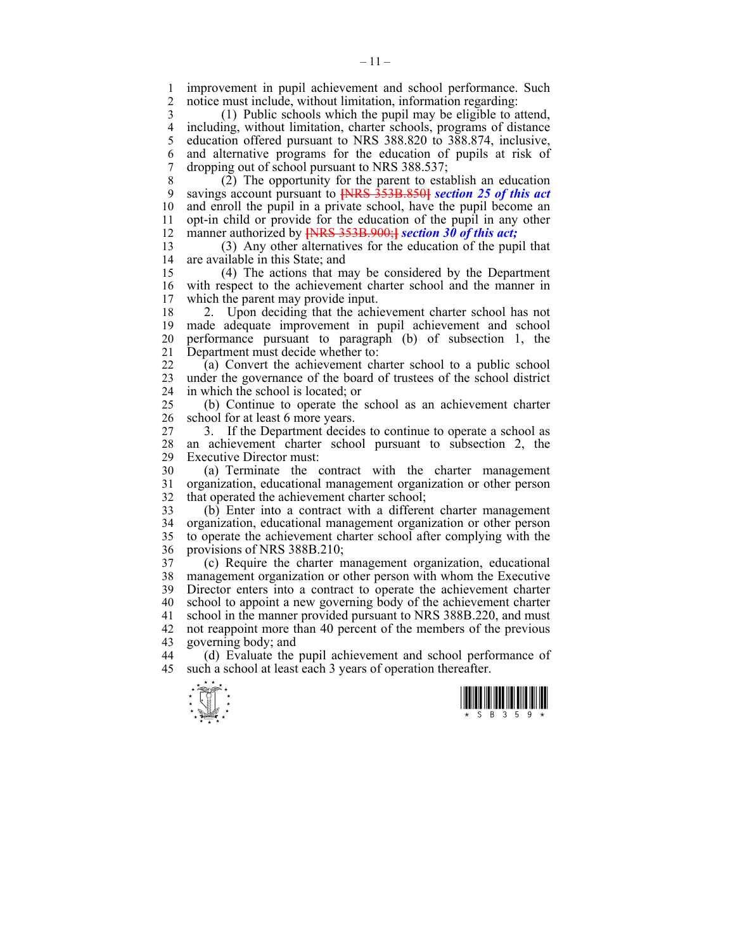1 improvement in pupil achievement and school performance. Such<br>2 notice must include without limitation information regarding notice must include, without limitation, information regarding:

3 (1) Public schools which the pupil may be eligible to attend, 4 including, without limitation, charter schools, programs of distance 5 education offered pursuant to NRS 388.820 to 388.874, inclusive, 6 and alternative programs for the education of pupils at risk of 7 dropping out of school pursuant to NRS 388.537;

8 (2) The opportunity for the parent to establish an education 9 savings account pursuant to **[**NRS 353B.850**]** *section 25 of this act*  10 and enroll the pupil in a private school, have the pupil become an 11 opt-in child or provide for the education of the pupil in any other 12 manner authorized by **[**NRS 353B.900;**]** *section 30 of this act;*

13 (3) Any other alternatives for the education of the pupil that 14 are available in this State; and

15 (4) The actions that may be considered by the Department 16 with respect to the achievement charter school and the manner in 17 which the parent may provide input. which the parent may provide input.

18 2. Upon deciding that the achievement charter school has not 19 made adequate improvement in pupil achievement and school 20 performance pursuant to paragraph (b) of subsection 1, the 21 Department must decide whether to:

22 (a) Convert the achievement charter school to a public school 23 under the governance of the board of trustees of the school district 24 in which the school is located; or

25 (b) Continue to operate the school as an achievement charter 26 school for at least 6 more years.

27 3. If the Department decides to continue to operate a school as 28 an achievement charter school pursuant to subsection 2, the Executive Director must: Executive Director must:

30 (a) Terminate the contract with the charter management 31 organization, educational management organization or other person 32 that operated the achievement charter school;

33 (b) Enter into a contract with a different charter management 34 organization, educational management organization or other person 35 to operate the achievement charter school after complying with the 36 provisions of NRS 388B.210;

37 (c) Require the charter management organization, educational 38 management organization or other person with whom the Executive 39 Director enters into a contract to operate the achievement charter 40 school to appoint a new governing body of the achievement charter 41 school in the manner provided pursuant to NRS 388B.220, and must 42 not reappoint more than 40 percent of the members of the previous 43 governing body; and

44 (d) Evaluate the pupil achievement and school performance of 45 such a school at least each 3 years of operation thereafter.



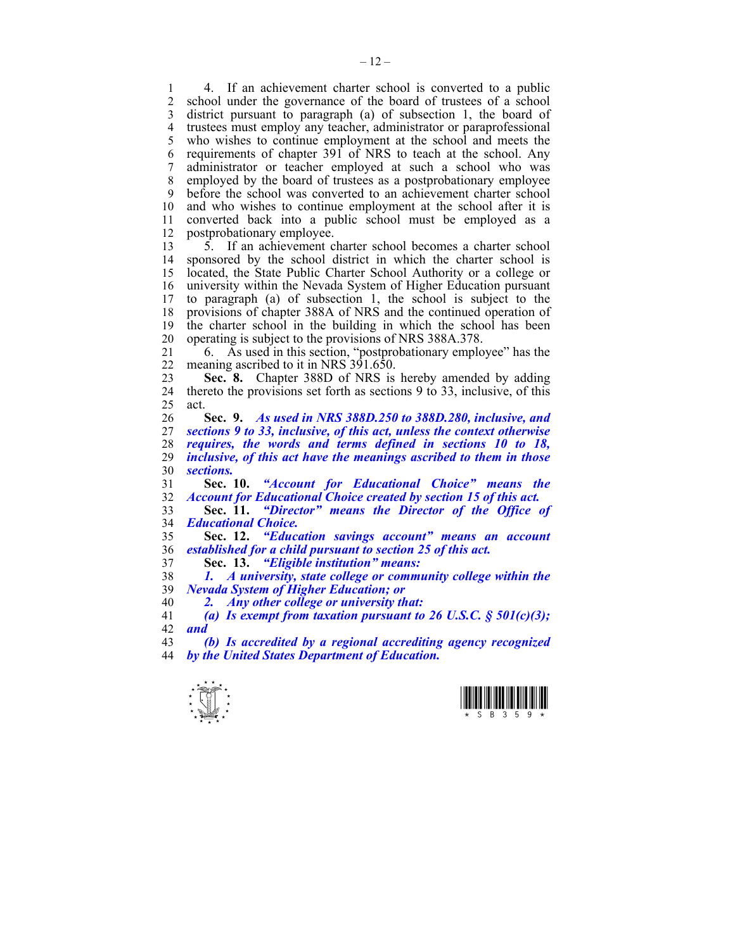1 4. If an achievement charter school is converted to a public<br>2 school under the governance of the board of trustees of a school school under the governance of the board of trustees of a school 3 district pursuant to paragraph (a) of subsection 1, the board of 4 trustees must employ any teacher, administrator or paraprofessional 5 who wishes to continue employment at the school and meets the 6 requirements of chapter 391 of NRS to teach at the school. Any 7 administrator or teacher employed at such a school who was 8 employed by the board of trustees as a postprobationary employee 9 before the school was converted to an achievement charter school 10 and who wishes to continue employment at the school after it is 11 converted back into a public school must be employed as a 12 postprobationary employee.

13 5. If an achievement charter school becomes a charter school 14 sponsored by the school district in which the charter school is 15 located, the State Public Charter School Authority or a college or 16 university within the Nevada System of Higher Education pursuant 17 to paragraph (a) of subsection 1, the school is subject to the 18 provisions of chapter 388A of NRS and the continued operation of 19 the charter school in the building in which the school has been 20 operating is subject to the provisions of NRS 388A.378.

21 6. As used in this section, "postprobationary employee" has the 22 meaning ascribed to it in NRS 391.650.

23 **Sec. 8.** Chapter 388D of NRS is hereby amended by adding 24 thereto the provisions set forth as sections 9 to 33, inclusive, of this 25 act.

**Sec. 9.** *As used in NRS 388D.250 to 388D.280, inclusive, and sections 9 to 33, inclusive, of this act, unless the context otherwise requires, the words and terms defined in sections 10 to 18, inclusive, of this act have the meanings ascribed to them in those sections.* 

31 **Sec. 10.** *"Account for Educational Choice" means the*  32 *Account for Educational Choice created by section 15 of this act.* 

33 **Sec. 11.** *"Director" means the Director of the Office of*  34 *Educational Choice.* 

35 **Sec. 12.** *"Education savings account" means an account*  36 *established for a child pursuant to section 25 of this act.*

37 **Sec. 13.** *"Eligible institution" means:* 

38 *1. A university, state college or community college within the*  39 *Nevada System of Higher Education; or* 

40 *2. Any other college or university that:* 

41 *(a) Is exempt from taxation pursuant to 26 U.S.C. § 501(c)(3);*  42 *and* 

43 *(b) Is accredited by a regional accrediting agency recognized*  44 *by the United States Department of Education.* 



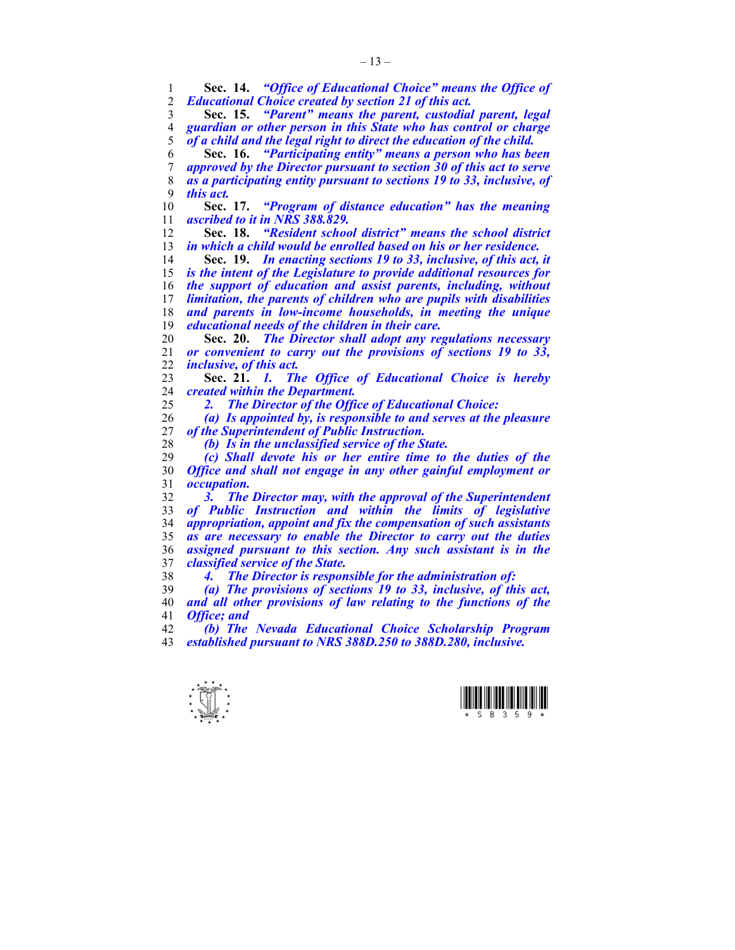**Sec. 14.** *"Office of Educational Choice" means the Office of Educational Choice created by section 21 of this act.*  **Sec. 15.** *"Parent" means the parent, custodial parent, legal guardian or other person in this State who has control or charge of a child and the legal right to direct the education of the child.* **Sec. 16.** *"Participating entity" means a person who has been approved by the Director pursuant to section 30 of this act to serve as a participating entity pursuant to sections 19 to 33, inclusive, of this act.* **Sec. 17.** *"Program of distance education" has the meaning ascribed to it in NRS 388.829.* **Sec. 18.** *"Resident school district" means the school district in which a child would be enrolled based on his or her residence.* **Sec. 19.** *In enacting sections 19 to 33, inclusive, of this act, it is the intent of the Legislature to provide additional resources for the support of education and assist parents, including, without limitation, the parents of children who are pupils with disabilities and parents in low-income households, in meeting the unique educational needs of the children in their care.* **Sec. 20.** *The Director shall adopt any regulations necessary or convenient to carry out the provisions of sections 19 to 33, inclusive, of this act.*  **Sec. 21.** *1. The Office of Educational Choice is hereby created within the Department. 2. The Director of the Office of Educational Choice: (a) Is appointed by, is responsible to and serves at the pleasure of the Superintendent of Public Instruction.* 

*(b) Is in the unclassified service of the State.* 

*(c) Shall devote his or her entire time to the duties of the Office and shall not engage in any other gainful employment or occupation.* 

*3. The Director may, with the approval of the Superintendent of Public Instruction and within the limits of legislative appropriation, appoint and fix the compensation of such assistants as are necessary to enable the Director to carry out the duties assigned pursuant to this section. Any such assistant is in the classified service of the State.* 

*4. The Director is responsible for the administration of:* 

*(a) The provisions of sections 19 to 33, inclusive, of this act, and all other provisions of law relating to the functions of the Office; and* 

*(b) The Nevada Educational Choice Scholarship Program established pursuant to NRS 388D.250 to 388D.280, inclusive.* 



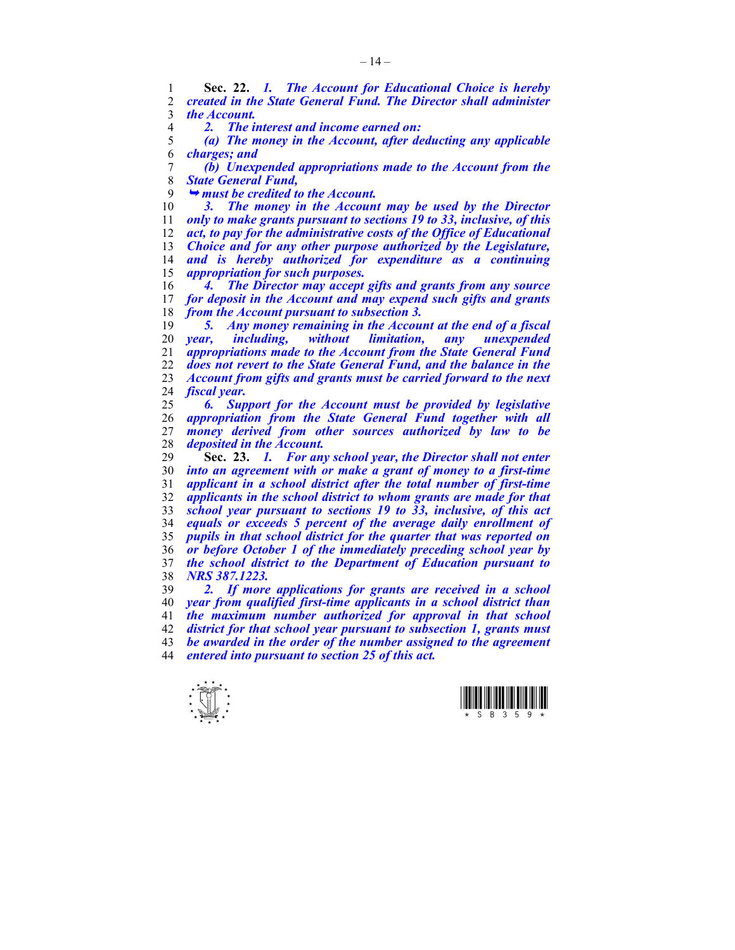**Sec. 22.** *1. The Account for Educational Choice is hereby created in the State General Fund. The Director shall administer the Account.* 

*2. The interest and income earned on:* 

*(a) The money in the Account, after deducting any applicable charges; and* 

*(b) Unexpended appropriations made to the Account from the State General Fund,* 

¬ *must be credited to the Account.* 

*3. The money in the Account may be used by the Director only to make grants pursuant to sections 19 to 33, inclusive, of this act, to pay for the administrative costs of the Office of Educational Choice and for any other purpose authorized by the Legislature, and is hereby authorized for expenditure as a continuing appropriation for such purposes.* 

**4. The Director may accept gifts and grants from any source 17 for deposit in the Account and may expend such gifts and grants** for deposit in the Account and may expend such gifts and grants *from the Account pursuant to subsection 3.* 

*5. Any money remaining in the Account at the end of a fiscal year, including, without limitation, any unexpended appropriations made to the Account from the State General Fund does not revert to the State General Fund, and the balance in the Account from gifts and grants must be carried forward to the next fiscal year.* 

*6. Support for the Account must be provided by legislative appropriation from the State General Fund together with all money derived from other sources authorized by law to be deposited in the Account.* 

**Sec. 23.** *1. For any school year, the Director shall not enter into an agreement with or make a grant of money to a first-time applicant in a school district after the total number of first-time applicants in the school district to whom grants are made for that school year pursuant to sections 19 to 33, inclusive, of this act equals or exceeds 5 percent of the average daily enrollment of pupils in that school district for the quarter that was reported on or before October 1 of the immediately preceding school year by the school district to the Department of Education pursuant to NRS 387.1223.* 

*2. If more applications for grants are received in a school year from qualified first-time applicants in a school district than the maximum number authorized for approval in that school district for that school year pursuant to subsection 1, grants must be awarded in the order of the number assigned to the agreement entered into pursuant to section 25 of this act.* 



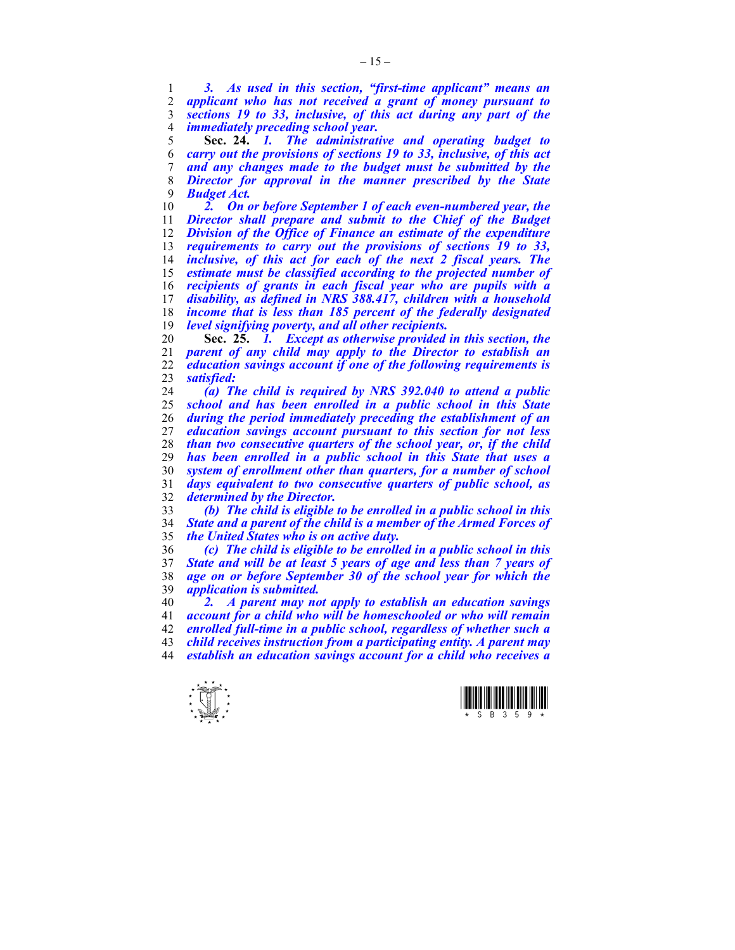*3. As used in this section, "first-time applicant" means an applicant who has not received a grant of money pursuant to sections 19 to 33, inclusive, of this act during any part of the immediately preceding school year.*

**Sec. 24.** *1. The administrative and operating budget to carry out the provisions of sections 19 to 33, inclusive, of this act and any changes made to the budget must be submitted by the Director for approval in the manner prescribed by the State Budget Act.* 

*2. On or before September 1 of each even-numbered year, the Director shall prepare and submit to the Chief of the Budget Division of the Office of Finance an estimate of the expenditure requirements to carry out the provisions of sections 19 to 33, inclusive, of this act for each of the next 2 fiscal years. The estimate must be classified according to the projected number of recipients of grants in each fiscal year who are pupils with a disability, as defined in NRS 388.417, children with a household income that is less than 185 percent of the federally designated level signifying poverty, and all other recipients.* 

**Sec. 25.** *1. Except as otherwise provided in this section, the parent of any child may apply to the Director to establish an education savings account if one of the following requirements is satisfied:* 

*(a) The child is required by NRS 392.040 to attend a public school and has been enrolled in a public school in this State during the period immediately preceding the establishment of an education savings account pursuant to this section for not less than two consecutive quarters of the school year, or, if the child has been enrolled in a public school in this State that uses a system of enrollment other than quarters, for a number of school days equivalent to two consecutive quarters of public school, as determined by the Director.* 

*(b) The child is eligible to be enrolled in a public school in this State and a parent of the child is a member of the Armed Forces of the United States who is on active duty.* 

*(c) The child is eligible to be enrolled in a public school in this State and will be at least 5 years of age and less than 7 years of age on or before September 30 of the school year for which the application is submitted.* 

*2. A parent may not apply to establish an education savings account for a child who will be homeschooled or who will remain enrolled full-time in a public school, regardless of whether such a child receives instruction from a participating entity. A parent may establish an education savings account for a child who receives a* 



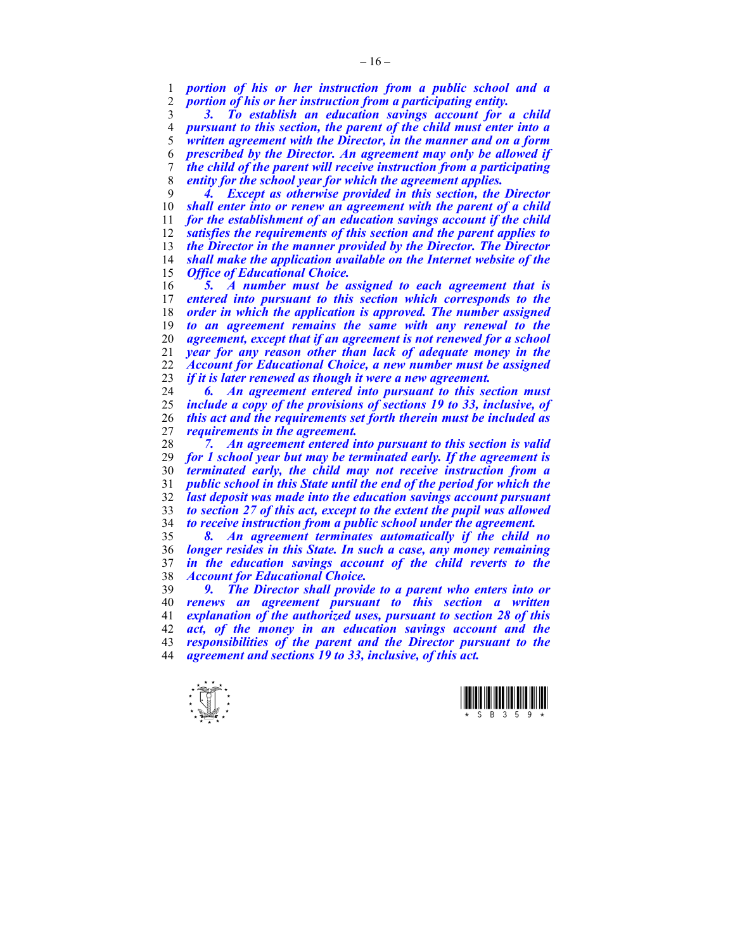*portion of his or her instruction from a public school and a portion of his or her instruction from a participating entity.* 

*3. To establish an education savings account for a child pursuant to this section, the parent of the child must enter into a written agreement with the Director, in the manner and on a form prescribed by the Director. An agreement may only be allowed if the child of the parent will receive instruction from a participating entity for the school year for which the agreement applies.* 

*4. Except as otherwise provided in this section, the Director shall enter into or renew an agreement with the parent of a child for the establishment of an education savings account if the child satisfies the requirements of this section and the parent applies to the Director in the manner provided by the Director. The Director shall make the application available on the Internet website of the Office of Educational Choice.* 

*5. A number must be assigned to each agreement that is entered into pursuant to this section which corresponds to the order in which the application is approved. The number assigned to an agreement remains the same with any renewal to the agreement, except that if an agreement is not renewed for a school year for any reason other than lack of adequate money in the Account for Educational Choice, a new number must be assigned if it is later renewed as though it were a new agreement.* 

*6. An agreement entered into pursuant to this section must include a copy of the provisions of sections 19 to 33, inclusive, of this act and the requirements set forth therein must be included as requirements in the agreement.* 

*7. An agreement entered into pursuant to this section is valid for 1 school year but may be terminated early. If the agreement is terminated early, the child may not receive instruction from a public school in this State until the end of the period for which the last deposit was made into the education savings account pursuant to section 27 of this act, except to the extent the pupil was allowed to receive instruction from a public school under the agreement.* 

*8. An agreement terminates automatically if the child no longer resides in this State. In such a case, any money remaining in the education savings account of the child reverts to the Account for Educational Choice.* 

*9. The Director shall provide to a parent who enters into or renews an agreement pursuant to this section a written explanation of the authorized uses, pursuant to section 28 of this act, of the money in an education savings account and the responsibilities of the parent and the Director pursuant to the agreement and sections 19 to 33, inclusive, of this act.* 



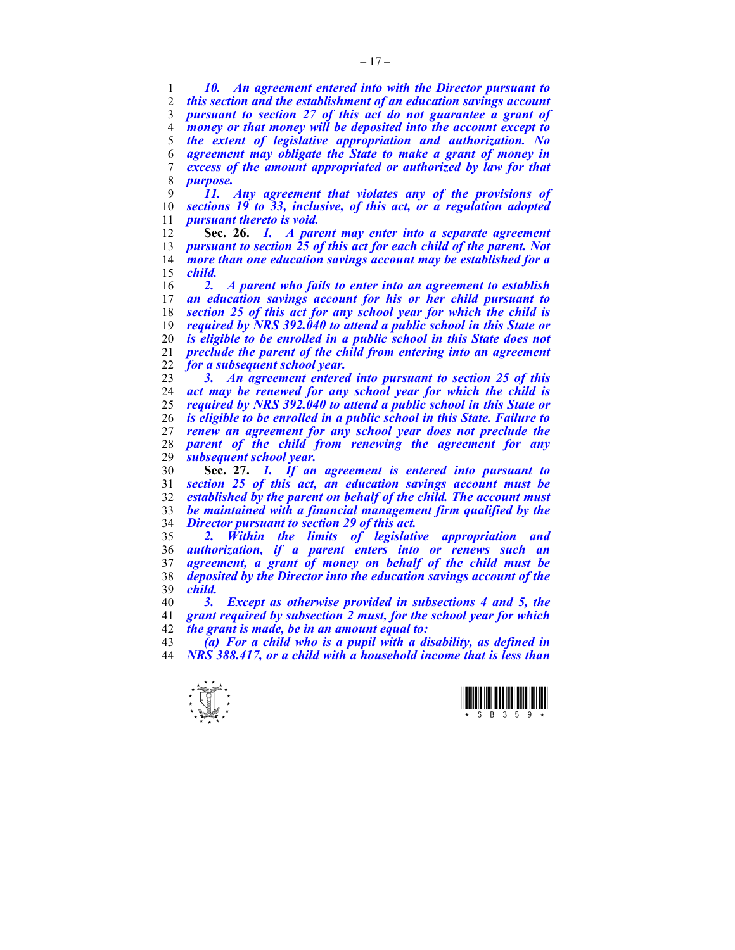*10. An agreement entered into with the Director pursuant to this section and the establishment of an education savings account pursuant to section 27 of this act do not guarantee a grant of money or that money will be deposited into the account except to the extent of legislative appropriation and authorization. No agreement may obligate the State to make a grant of money in excess of the amount appropriated or authorized by law for that purpose.* 

*11. Any agreement that violates any of the provisions of sections 19 to 33, inclusive, of this act, or a regulation adopted pursuant thereto is void.* 

**Sec. 26.** *1. A parent may enter into a separate agreement pursuant to section 25 of this act for each child of the parent. Not more than one education savings account may be established for a child.* 

*2. A parent who fails to enter into an agreement to establish an education savings account for his or her child pursuant to section 25 of this act for any school year for which the child is required by NRS 392.040 to attend a public school in this State or is eligible to be enrolled in a public school in this State does not preclude the parent of the child from entering into an agreement for a subsequent school year.* 

*3. An agreement entered into pursuant to section 25 of this act may be renewed for any school year for which the child is required by NRS 392.040 to attend a public school in this State or is eligible to be enrolled in a public school in this State. Failure to renew an agreement for any school year does not preclude the parent of the child from renewing the agreement for any subsequent school year.* 

**Sec. 27.** *1. If an agreement is entered into pursuant to section 25 of this act, an education savings account must be established by the parent on behalf of the child. The account must be maintained with a financial management firm qualified by the Director pursuant to section 29 of this act.* 

*2. Within the limits of legislative appropriation and authorization, if a parent enters into or renews such an agreement, a grant of money on behalf of the child must be deposited by the Director into the education savings account of the child.* 

*3. Except as otherwise provided in subsections 4 and 5, the grant required by subsection 2 must, for the school year for which the grant is made, be in an amount equal to:* 

*(a) For a child who is a pupil with a disability, as defined in NRS 388.417, or a child with a household income that is less than* 



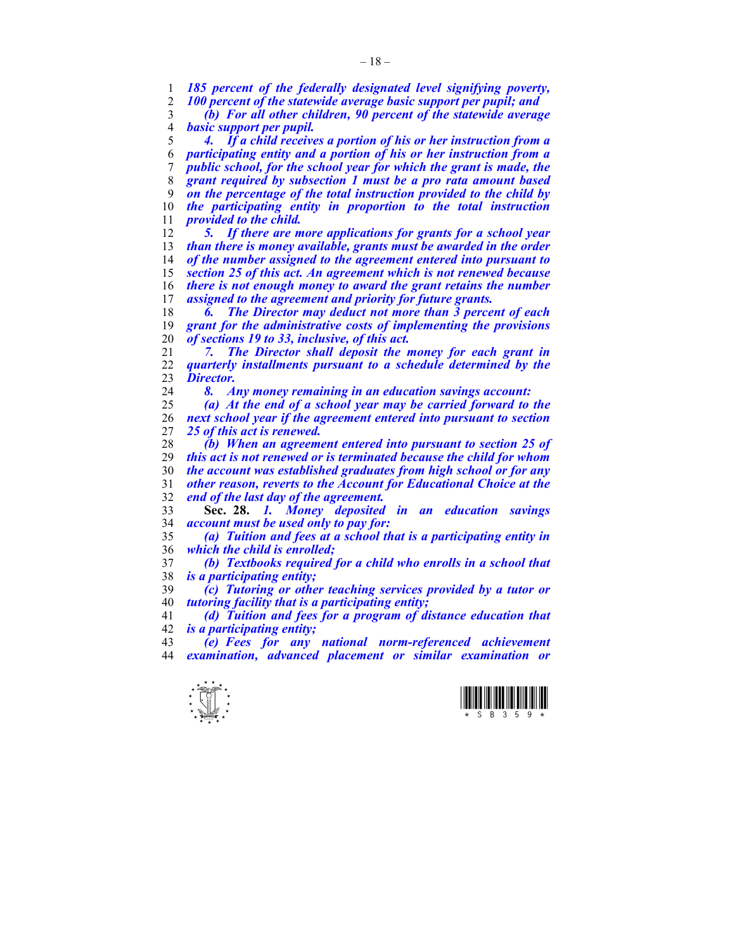*185 percent of the federally designated level signifying poverty, 100 percent of the statewide average basic support per pupil; and* 

*(b) For all other children, 90 percent of the statewide average basic support per pupil.* 

*4. If a child receives a portion of his or her instruction from a participating entity and a portion of his or her instruction from a public school, for the school year for which the grant is made, the grant required by subsection 1 must be a pro rata amount based on the percentage of the total instruction provided to the child by the participating entity in proportion to the total instruction provided to the child.* 

*5. If there are more applications for grants for a school year than there is money available, grants must be awarded in the order of the number assigned to the agreement entered into pursuant to section 25 of this act. An agreement which is not renewed because there is not enough money to award the grant retains the number assigned to the agreement and priority for future grants.* 

*6. The Director may deduct not more than 3 percent of each grant for the administrative costs of implementing the provisions of sections 19 to 33, inclusive, of this act.* 

*7. The Director shall deposit the money for each grant in quarterly installments pursuant to a schedule determined by the Director.* 

*8. Any money remaining in an education savings account:* 

*(a) At the end of a school year may be carried forward to the next school year if the agreement entered into pursuant to section 25 of this act is renewed.* 

*(b) When an agreement entered into pursuant to section 25 of this act is not renewed or is terminated because the child for whom the account was established graduates from high school or for any other reason, reverts to the Account for Educational Choice at the end of the last day of the agreement.*

**Sec. 28.** *1. Money deposited in an education savings account must be used only to pay for:* 

*(a) Tuition and fees at a school that is a participating entity in which the child is enrolled;* 

*(b) Textbooks required for a child who enrolls in a school that is a participating entity;* 

*(c) Tutoring or other teaching services provided by a tutor or tutoring facility that is a participating entity;* 

*(d) Tuition and fees for a program of distance education that is a participating entity;* 

*(e) Fees for any national norm-referenced achievement examination, advanced placement or similar examination or* 



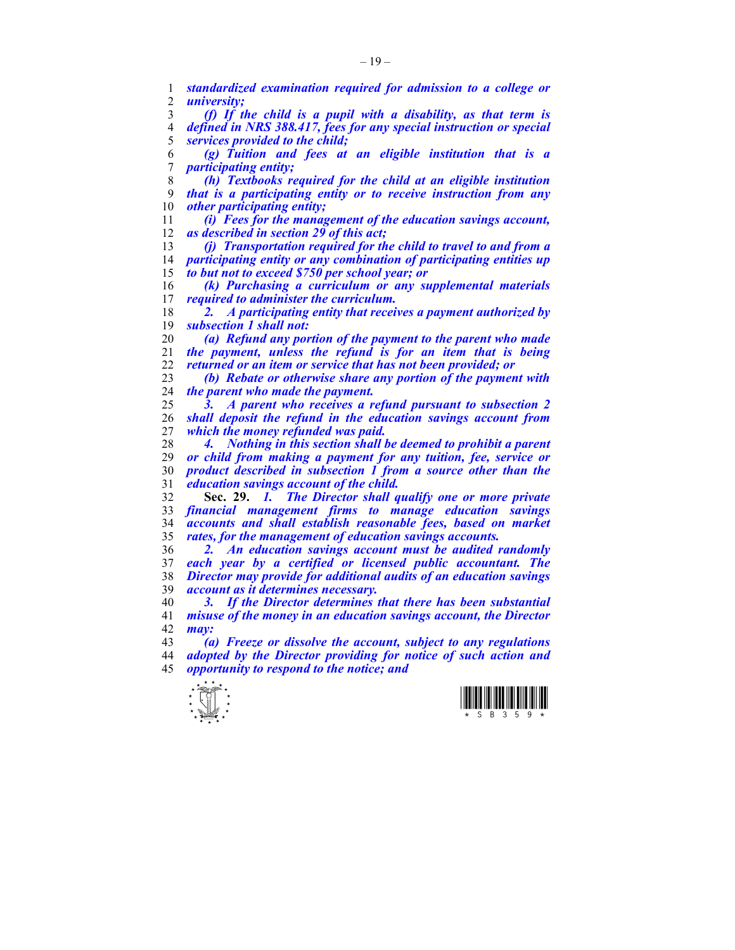*standardized examination required for admission to a college or university; (f) If the child is a pupil with a disability, as that term is defined in NRS 388.417, fees for any special instruction or special services provided to the child; (g) Tuition and fees at an eligible institution that is a participating entity; (h) Textbooks required for the child at an eligible institution that is a participating entity or to receive instruction from any other participating entity; (i) Fees for the management of the education savings account, as described in section 29 of this act; (j) Transportation required for the child to travel to and from a participating entity or any combination of participating entities up to but not to exceed \$750 per school year; or (k) Purchasing a curriculum or any supplemental materials required to administer the curriculum. 2. A participating entity that receives a payment authorized by subsection 1 shall not: (a) Refund any portion of the payment to the parent who made the payment, unless the refund is for an item that is being returned or an item or service that has not been provided; or (b) Rebate or otherwise share any portion of the payment with the parent who made the payment. 3. A parent who receives a refund pursuant to subsection 2 shall deposit the refund in the education savings account from which the money refunded was paid. 4. Nothing in this section shall be deemed to prohibit a parent or child from making a payment for any tuition, fee, service or product described in subsection 1 from a source other than the education savings account of the child.* **Sec. 29.** *1. The Director shall qualify one or more private financial management firms to manage education savings accounts and shall establish reasonable fees, based on market rates, for the management of education savings accounts. 2. An education savings account must be audited randomly each year by a certified or licensed public accountant. The Director may provide for additional audits of an education savings account as it determines necessary. 3. If the Director determines that there has been substantial misuse of the money in an education savings account, the Director may: (a) Freeze or dissolve the account, subject to any regulations adopted by the Director providing for notice of such action and opportunity to respond to the notice; and* 

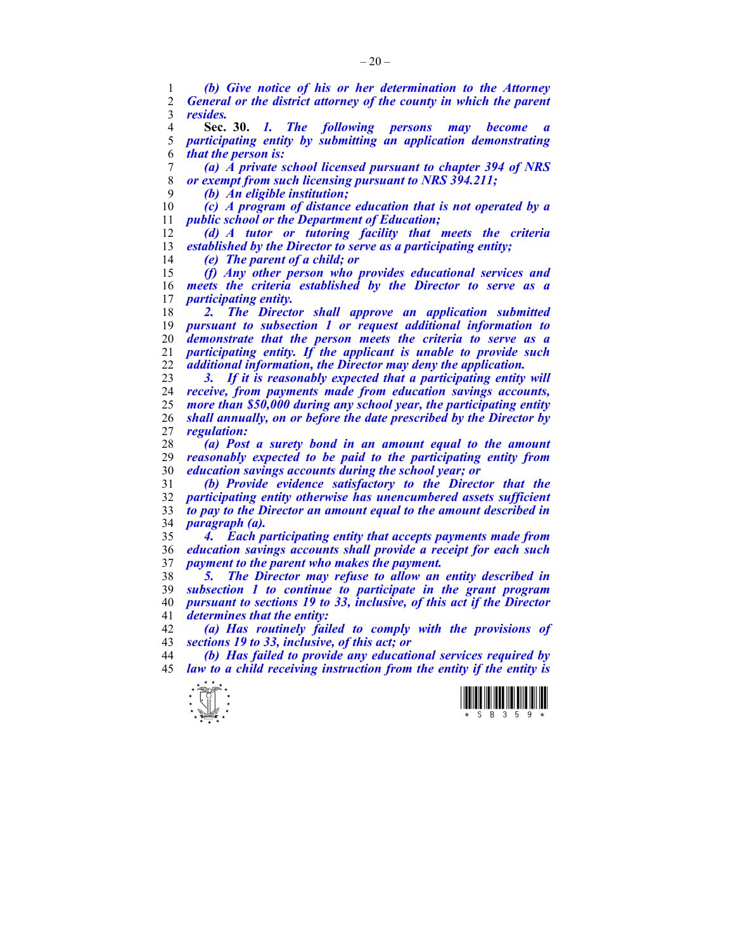*(b) Give notice of his or her determination to the Attorney General or the district attorney of the county in which the parent resides.*

**Sec. 30.** *1. The following persons may become a participating entity by submitting an application demonstrating that the person is:* 

*(a) A private school licensed pursuant to chapter 394 of NRS or exempt from such licensing pursuant to NRS 394.211;* 

*(b) An eligible institution;* 

*(c) A program of distance education that is not operated by a public school or the Department of Education;* 

*(d) A tutor or tutoring facility that meets the criteria established by the Director to serve as a participating entity;* 

*(e) The parent of a child; or* 

*(f) Any other person who provides educational services and meets the criteria established by the Director to serve as a participating entity.* 

*2. The Director shall approve an application submitted pursuant to subsection 1 or request additional information to demonstrate that the person meets the criteria to serve as a participating entity. If the applicant is unable to provide such additional information, the Director may deny the application.* 

*3. If it is reasonably expected that a participating entity will receive, from payments made from education savings accounts, more than \$50,000 during any school year, the participating entity shall annually, on or before the date prescribed by the Director by regulation:* 

*(a) Post a surety bond in an amount equal to the amount reasonably expected to be paid to the participating entity from education savings accounts during the school year; or* 

*(b) Provide evidence satisfactory to the Director that the participating entity otherwise has unencumbered assets sufficient to pay to the Director an amount equal to the amount described in paragraph (a).* 

*4. Each participating entity that accepts payments made from education savings accounts shall provide a receipt for each such payment to the parent who makes the payment.* 

*5. The Director may refuse to allow an entity described in subsection 1 to continue to participate in the grant program pursuant to sections 19 to 33, inclusive, of this act if the Director determines that the entity:* 

*(a) Has routinely failed to comply with the provisions of sections 19 to 33, inclusive, of this act; or* 

*(b) Has failed to provide any educational services required by law to a child receiving instruction from the entity if the entity is* 



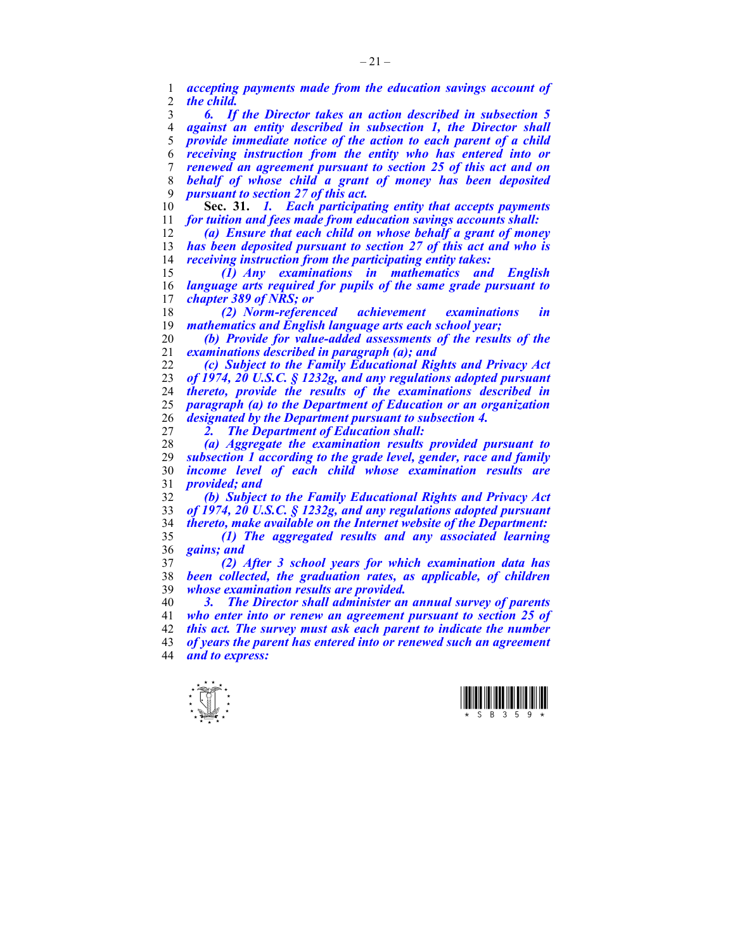*accepting payments made from the education savings account of the child.* 

*6. If the Director takes an action described in subsection 5 against an entity described in subsection 1, the Director shall provide immediate notice of the action to each parent of a child receiving instruction from the entity who has entered into or renewed an agreement pursuant to section 25 of this act and on behalf of whose child a grant of money has been deposited pursuant to section 27 of this act.* 

**Sec. 31.** *1. Each participating entity that accepts payments for tuition and fees made from education savings accounts shall:* 

*(a) Ensure that each child on whose behalf a grant of money has been deposited pursuant to section 27 of this act and who is receiving instruction from the participating entity takes:* 

*(1) Any examinations in mathematics and English language arts required for pupils of the same grade pursuant to chapter 389 of NRS; or* 

*(2) Norm-referenced achievement examinations in mathematics and English language arts each school year;* 

*(b) Provide for value-added assessments of the results of the examinations described in paragraph (a); and* 

*(c) Subject to the Family Educational Rights and Privacy Act of 1974, 20 U.S.C. § 1232g, and any regulations adopted pursuant thereto, provide the results of the examinations described in paragraph (a) to the Department of Education or an organization designated by the Department pursuant to subsection 4.* 

*2. The Department of Education shall:* 

*(a) Aggregate the examination results provided pursuant to subsection 1 according to the grade level, gender, race and family income level of each child whose examination results are provided; and* 

*(b) Subject to the Family Educational Rights and Privacy Act of 1974, 20 U.S.C. § 1232g, and any regulations adopted pursuant thereto, make available on the Internet website of the Department: (1) The aggregated results and any associated learning* 

*gains; and* 

*(2) After 3 school years for which examination data has*  been collected, the graduation rates, as applicable, of children *whose examination results are provided.* 

*3. The Director shall administer an annual survey of parents who enter into or renew an agreement pursuant to section 25 of this act. The survey must ask each parent to indicate the number of years the parent has entered into or renewed such an agreement and to express:* 



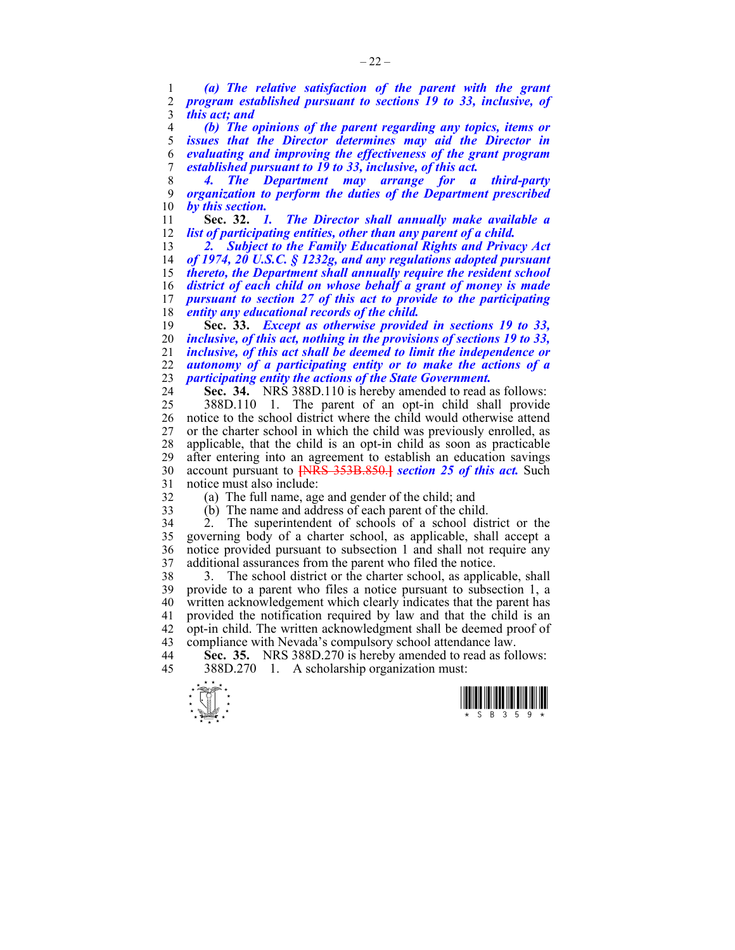1 *(a) The relative satisfaction of the parent with the grant*  2 *program established pursuant to sections 19 to 33, inclusive, of*  3 *this act; and* 

*(b) The opinions of the parent regarding any topics, items or*  issues that the Director determines may aid the Director in *evaluating and improving the effectiveness of the grant program established pursuant to 19 to 33, inclusive, of this act.* 

8 *4. The Department may arrange for a third-party*  9 *organization to perform the duties of the Department prescribed*  by this section.<br>Sec. 32. 1.

11 **Sec. 32.** *1. The Director shall annually make available a*  12 *list of participating entities, other than any parent of a child.* 

*2. Subject to the Family Educational Rights and Privacy Act of 1974, 20 U.S.C. § 1232g, and any regulations adopted pursuant thereto, the Department shall annually require the resident school district of each child on whose behalf a grant of money is made pursuant to section 27 of this act to provide to the participating entity any educational records of the child.*

**Sec. 33.** *Except as otherwise provided in sections 19 to 33, inclusive, of this act, nothing in the provisions of sections 19 to 33, inclusive, of this act shall be deemed to limit the independence or autonomy of a participating entity or to make the actions of a participating entity the actions of the State Government.* 

24 **Sec. 34.** NRS 388D.110 is hereby amended to read as follows: 25 388D.110 1. The parent of an opt-in child shall provide 26 notice to the school district where the child would otherwise attend 27 or the charter school in which the child was previously enrolled, as 28 applicable, that the child is an opt-in child as soon as practicable after entering into an agreement to establish an education savings 30 account pursuant to **[**NRS 353B.850.**]** *section 25 of this act.* Such 31 notice must also include:

32 (a) The full name, age and gender of the child; and

33 (b) The name and address of each parent of the child.

34 2. The superintendent of schools of a school district or the 35 governing body of a charter school, as applicable, shall accept a 36 notice provided pursuant to subsection 1 and shall not require any 37 additional assurances from the parent who filed the notice.

38 3. The school district or the charter school, as applicable, shall 39 provide to a parent who files a notice pursuant to subsection 1, a 40 written acknowledgement which clearly indicates that the parent has 41 provided the notification required by law and that the child is an 42 opt-in child. The written acknowledgment shall be deemed proof of 43 compliance with Nevada's compulsory school attendance law.

44 **Sec. 35.** NRS 388D.270 is hereby amended to read as follows: 45 388D.270 1. A scholarship organization must:



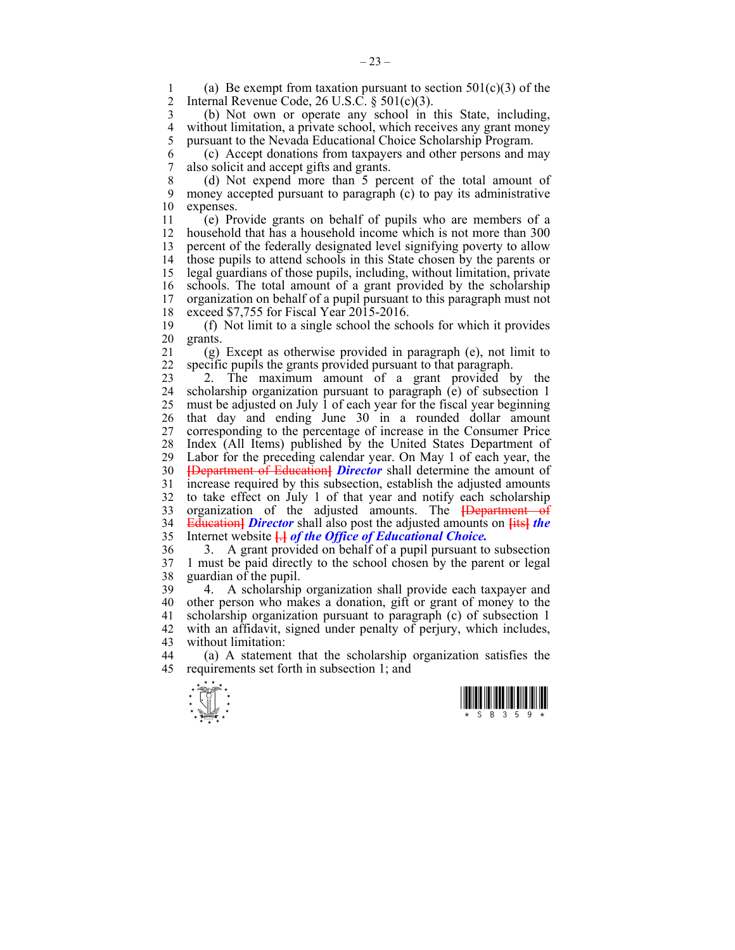1 (a) Be exempt from taxation pursuant to section  $501(c)(3)$  of the<br>2 Internal Revenue Code 26 U S C  $\frac{8}{301(c)(3)}$ Internal Revenue Code, 26 U.S.C.  $\S$  501(c)(3).

3 (b) Not own or operate any school in this State, including, 4 without limitation, a private school, which receives any grant money<br>5 pursuant to the Nevada Educational Choice Scholarship Program. 5 pursuant to the Nevada Educational Choice Scholarship Program.

6 (c) Accept donations from taxpayers and other persons and may 7 also solicit and accept gifts and grants.

8 (d) Not expend more than 5 percent of the total amount of 9 money accepted pursuant to paragraph (c) to pay its administrative 10 expenses.

11 (e) Provide grants on behalf of pupils who are members of a 12 household that has a household income which is not more than 300 13 percent of the federally designated level signifying poverty to allow 14 those pupils to attend schools in this State chosen by the parents or 15 legal guardians of those pupils, including, without limitation, private 16 schools. The total amount of a grant provided by the scholarship organization on behalf of a pupil pursuant to this paragraph must not 17 organization on behalf of a pupil pursuant to this paragraph must not 18 exceed \$7,755 for Fiscal Year 2015-2016.

19 (f) Not limit to a single school the schools for which it provides 20 grants.

21 (g) Except as otherwise provided in paragraph (e), not limit to 22 specific pupils the grants provided pursuant to that paragraph.

23 2. The maximum amount of a grant provided by the 24 scholarship organization pursuant to paragraph (e) of subsection 1 25 must be adjusted on July 1 of each year for the fiscal year beginning 26 that day and ending June 30 in a rounded dollar amount 27 corresponding to the percentage of increase in the Consumer Price 28 Index (All Items) published by the United States Department of Labor for the preceding calendar year. On May 1 of each year, the 30 **[**Department of Education**]** *Director* shall determine the amount of 31 increase required by this subsection, establish the adjusted amounts 32 to take effect on July 1 of that year and notify each scholarship 33 organization of the adjusted amounts. The **[**Department of 34 Education**]** *Director* shall also post the adjusted amounts on **[**its**]** *the*  35 Internet website **[**.**]** *of the Office of Educational Choice.*

36 3. A grant provided on behalf of a pupil pursuant to subsection 37 1 must be paid directly to the school chosen by the parent or legal 38 guardian of the pupil.

39 4. A scholarship organization shall provide each taxpayer and 40 other person who makes a donation, gift or grant of money to the 41 scholarship organization pursuant to paragraph (c) of subsection 1 42 with an affidavit, signed under penalty of perjury, which includes, 43 without limitation:

44 (a) A statement that the scholarship organization satisfies the 45 requirements set forth in subsection 1; and



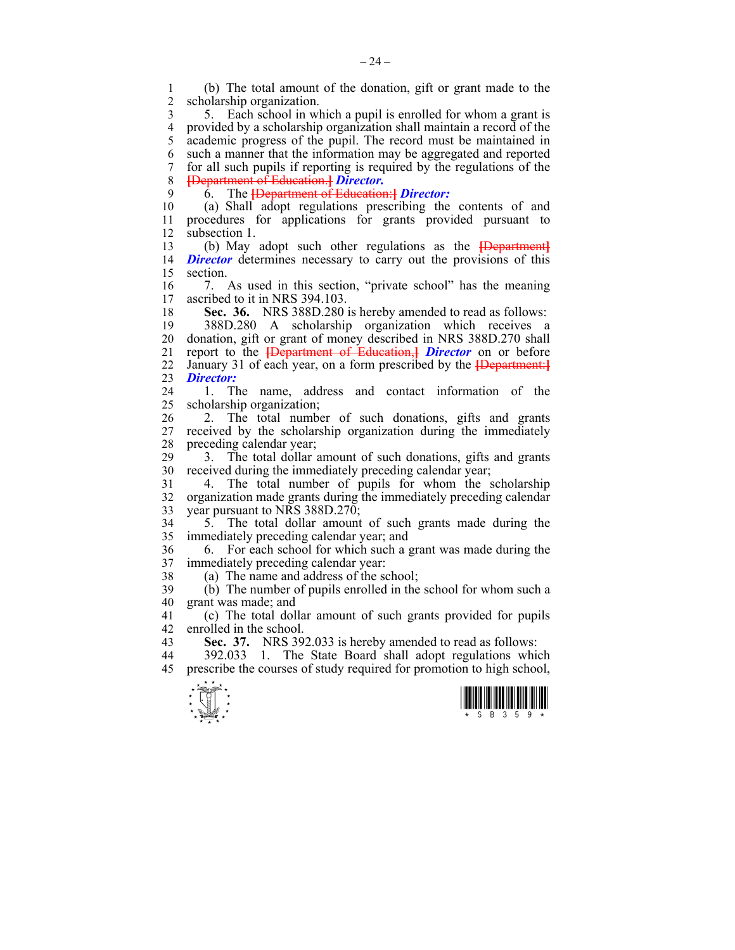1 (b) The total amount of the donation, gift or grant made to the scholarship organization.

3 5. Each school in which a pupil is enrolled for whom a grant is 4 provided by a scholarship organization shall maintain a record of the 5 academic progress of the pupil. The record must be maintained in 6 such a manner that the information may be aggregated and reported 7 for all such pupils if reporting is required by the regulations of the 8 **[**Department of Education.**]** *Director.*

9 6. The **[**Department of Education:**]** *Director:*

10 (a) Shall adopt regulations prescribing the contents of and 11 procedures for applications for grants provided pursuant to 12 subsection 1.

13 (b) May adopt such other regulations as the **[**Department**]** 14 **Director** determines necessary to carry out the provisions of this 15 section.

16 7. As used in this section, "private school" has the meaning ascribed to it in NRS 394 103 ascribed to it in NRS 394.103.

18 **Sec. 36.** NRS 388D.280 is hereby amended to read as follows:

19 388D.280 A scholarship organization which receives a 20 donation, gift or grant of money described in NRS 388D.270 shall 21 report to the **[**Department of Education,**]** *Director* on or before 22 January 31 of each year, on a form prescribed by the **[**Department:**]** 23 *Director:*

24 1. The name, address and contact information of the 25 scholarship organization;

26 2. The total number of such donations, gifts and grants 27 received by the scholarship organization during the immediately 28 preceding calendar year;

29 3. The total dollar amount of such donations, gifts and grants 30 received during the immediately preceding calendar year;

31 4. The total number of pupils for whom the scholarship 32 organization made grants during the immediately preceding calendar 33 year pursuant to NRS 388D.270;

34 5. The total dollar amount of such grants made during the 35 immediately preceding calendar year; and

36 6. For each school for which such a grant was made during the 37 immediately preceding calendar year:

38 (a) The name and address of the school;

39 (b) The number of pupils enrolled in the school for whom such a 40 grant was made; and

41 (c) The total dollar amount of such grants provided for pupils 42 enrolled in the school.

43 **Sec. 37.** NRS 392.033 is hereby amended to read as follows:

44 392.033 1. The State Board shall adopt regulations which 45 prescribe the courses of study required for promotion to high school,



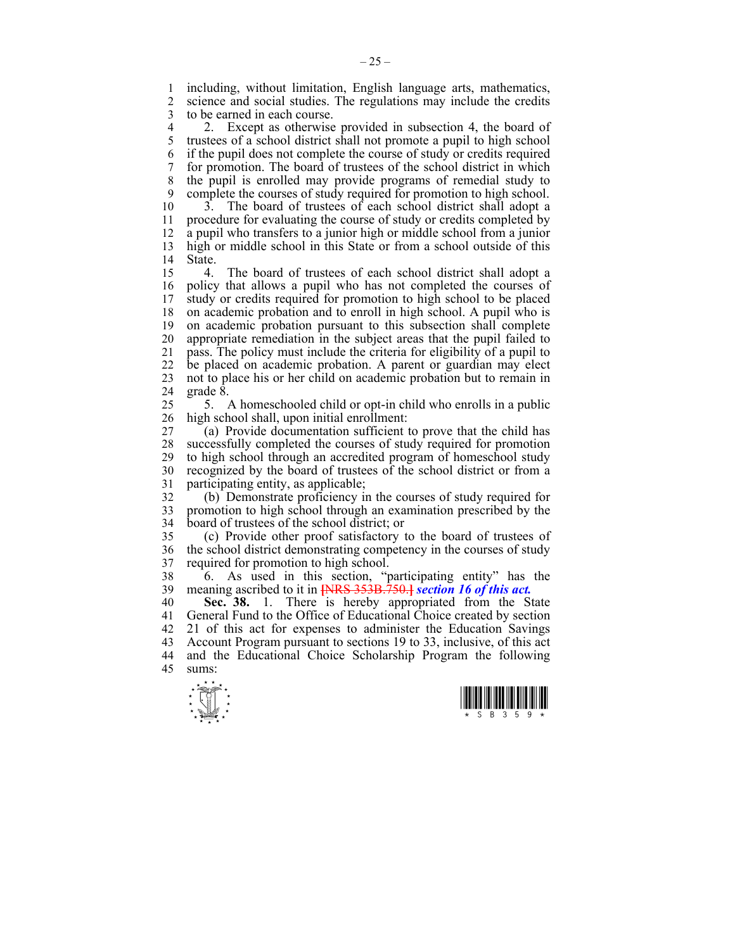1 including, without limitation, English language arts, mathematics,<br>2 science and social studies. The regulations may include the credits science and social studies. The regulations may include the credits 3 to be earned in each course.

4 2. Except as otherwise provided in subsection 4, the board of 5 trustees of a school district shall not promote a pupil to high school 5 trustees of a school district shall not promote a pupil to high school 6 if the pupil does not complete the course of study or credits required 7 for promotion. The board of trustees of the school district in which 8 the pupil is enrolled may provide programs of remedial study to 9 complete the courses of study required for promotion to high school.

10 3. The board of trustees of each school district shall adopt a 11 procedure for evaluating the course of study or credits completed by 12 a pupil who transfers to a junior high or middle school from a junior 13 high or middle school in this State or from a school outside of this 14 State.

15 4. The board of trustees of each school district shall adopt a 16 policy that allows a pupil who has not completed the courses of 17 study or credits required for promotion to high school to be placed study or credits required for promotion to high school to be placed 18 on academic probation and to enroll in high school. A pupil who is 19 on academic probation pursuant to this subsection shall complete 20 appropriate remediation in the subject areas that the pupil failed to 21 pass. The policy must include the criteria for eligibility of a pupil to 22 be placed on academic probation. A parent or guardian may elect 23 not to place his or her child on academic probation but to remain in 24 grade 8.

25 5. A homeschooled child or opt-in child who enrolls in a public 26 high school shall, upon initial enrollment:

27 (a) Provide documentation sufficient to prove that the child has 28 successfully completed the courses of study required for promotion 29 to high school through an accredited program of homeschool study to high school through an accredited program of homeschool study 30 recognized by the board of trustees of the school district or from a 31 participating entity, as applicable;

32 (b) Demonstrate proficiency in the courses of study required for 33 promotion to high school through an examination prescribed by the 34 board of trustees of the school district; or

35 (c) Provide other proof satisfactory to the board of trustees of 36 the school district demonstrating competency in the courses of study 37 required for promotion to high school.

38 6. As used in this section, "participating entity" has the 39 meaning ascribed to it in **[**NRS 353B.750.**]** *section 16 of this act.*

40 **Sec. 38.** 1. There is hereby appropriated from the State 41 General Fund to the Office of Educational Choice created by section 42 21 of this act for expenses to administer the Education Savings 43 Account Program pursuant to sections 19 to 33, inclusive, of this act 44 and the Educational Choice Scholarship Program the following 45 sums:



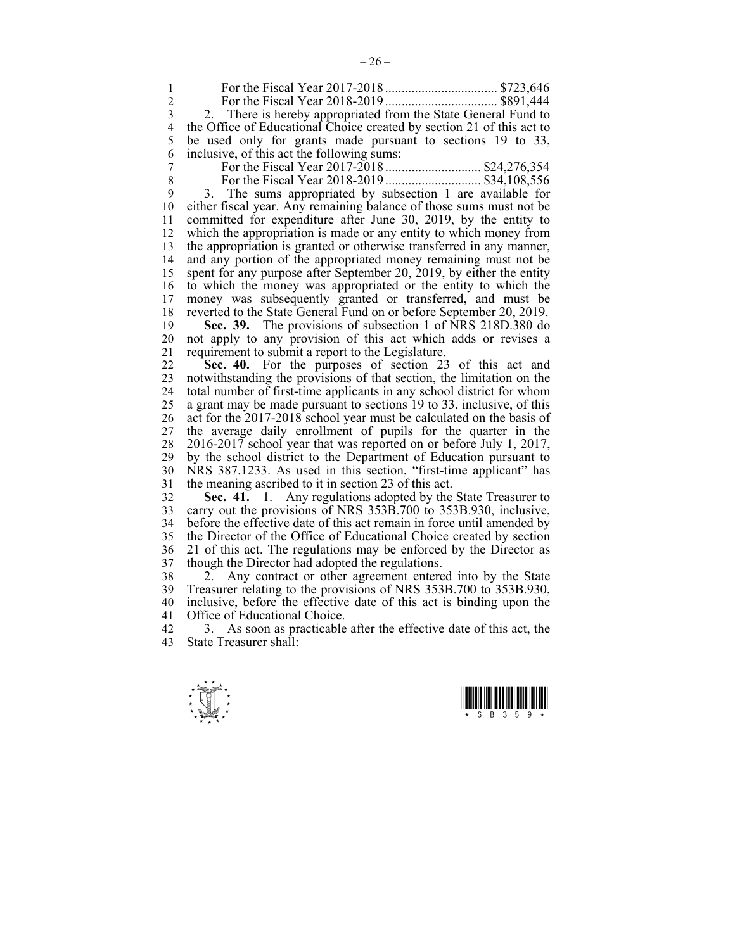1 For the Fiscal Year 2017-2018 .................................. \$723,646 2 For the Fiscal Year 2018-2019 .................................. \$891,444 3 2. There is hereby appropriated from the State General Fund to 4 the Office of Educational Choice created by section 21 of this act to 5 be used only for grants made pursuant to sections 19 to 33, be used only for grants made pursuant to sections 19 to 33, 6 inclusive, of this act the following sums: 7 For the Fiscal Year 2017-2018 ............................. \$24,276,354 8 For the Fiscal Year 2018-2019 ............................. \$34,108,556 9 3. The sums appropriated by subsection 1 are available for 10 either fiscal year. Any remaining balance of those sums must not be 11 committed for expenditure after June 30, 2019, by the entity to 12 which the appropriation is made or any entity to which money from 13 the appropriation is granted or otherwise transferred in any manner, 14 and any portion of the appropriated money remaining must not be 15 spent for any purpose after September 20, 2019, by either the entity 16 to which the money was appropriated or the entity to which the 17 money was subsequently granted or transferred, and must be 18 reverted to the State General Fund on or before September 20, 2019. 19 **Sec. 39.** The provisions of subsection 1 of NRS 218D.380 do 20 not apply to any provision of this act which adds or revises a 21 requirement to submit a report to the Legislature. 22 **Sec. 40.** For the purposes of section 23 of this act and 23 notwithstanding the provisions of that section, the limitation on the 24 total number of first-time applicants in any school district for whom 25 a grant may be made pursuant to sections 19 to 33, inclusive, of this 26 act for the 2017-2018 school year must be calculated on the basis of 27 the average daily enrollment of pupils for the quarter in the 28 2016-2017 school year that was reported on or before July 1, 2017, 29 by the school district to the Department of Education pursuant to 30 NRS 387.1233. As used in this section, "first-time applicant" has 31 the meaning ascribed to it in section 23 of this act. 32 **Sec. 41.** 1. Any regulations adopted by the State Treasurer to 33 carry out the provisions of NRS 353B.700 to 353B.930, inclusive, 34 before the effective date of this act remain in force until amended by

35 the Director of the Office of Educational Choice created by section 36 21 of this act. The regulations may be enforced by the Director as 37 though the Director had adopted the regulations.

38 2. Any contract or other agreement entered into by the State 39 Treasurer relating to the provisions of NRS 353B.700 to 353B.930, 40 inclusive, before the effective date of this act is binding upon the 41 Office of Educational Choice.

42 3. As soon as practicable after the effective date of this act, the 43 State Treasurer shall:



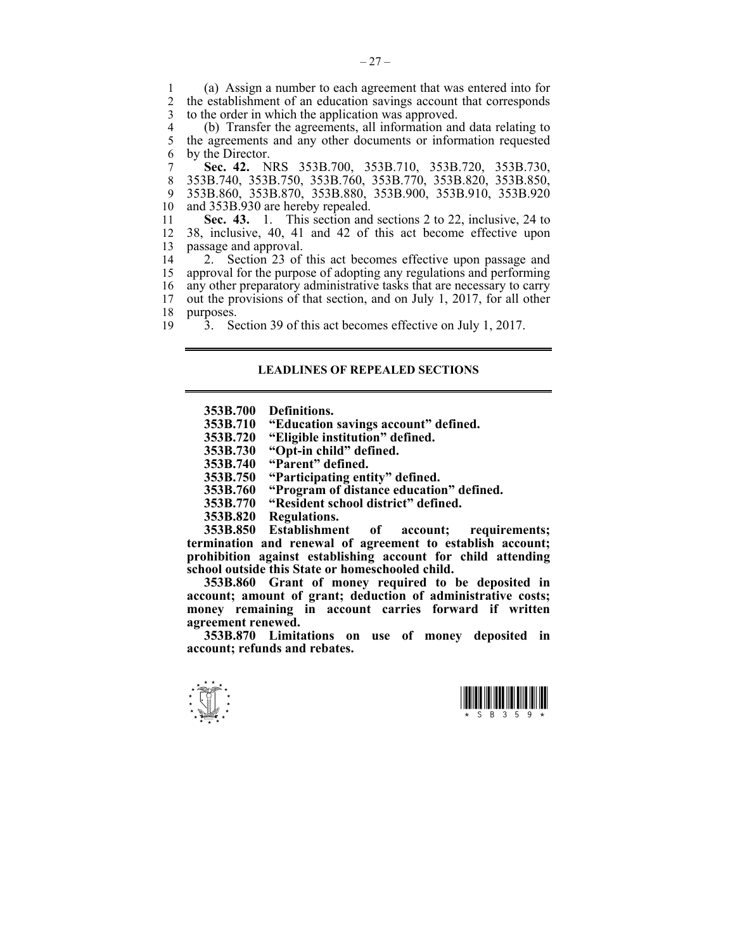1 (a) Assign a number to each agreement that was entered into for 2 the establishment of an education savings account that corresponds 3 to the order in which the application was approved.

4 (b) Transfer the agreements, all information and data relating to<br>5 the agreements and any other documents or information requested the agreements and any other documents or information requested 6 by the Director.

7 **Sec. 42.** NRS 353B.700, 353B.710, 353B.720, 353B.730, 8 353B.740, 353B.750, 353B.760, 353B.770, 353B.820, 353B.850, 9 353B.860, 353B.870, 353B.880, 353B.900, 353B.910, 353B.920<br>10 and 353B.930 are hereby repealed. and 353B.930 are hereby repealed.

11 **Sec. 43.** 1. This section and sections 2 to 22, inclusive, 24 to 12 38, inclusive, 40, 41 and 42 of this act become effective upon 13 passage and approval.<br>14 2. Section 23 of

14 2. Section 23 of this act becomes effective upon passage and 15 approval for the purpose of adopting any regulations and performing 16 any other preparatory administrative tasks that are necessary to carry 17 out the provisions of that section, and on July 1, 2017, for all other 18 purposes.

19 <sup>3</sup>. Section 39 of this act becomes effective on July 1, 2017.

## **LEADLINES OF REPEALED SECTIONS**

 **353B.700 Definitions.** 

- **353B.710 "Education savings account" defined.**
- **353B.720 "Eligible institution" defined.**
- **353B.730 "Opt-in child" defined.** 
	- **353B.740 "Parent" defined.**
	- **353B.750 "Participating entity" defined.**
	- **353B.760 "Program of distance education" defined.**
	- **353B.770 "Resident school district" defined.**
	- **353B.820 Regulations.**

 **353B.850 Establishment of account; requirements; termination and renewal of agreement to establish account; prohibition against establishing account for child attending school outside this State or homeschooled child.** 

 **353B.860 Grant of money required to be deposited in account; amount of grant; deduction of administrative costs; money remaining in account carries forward if written agreement renewed.** 

 **353B.870 Limitations on use of money deposited in account; refunds and rebates.**